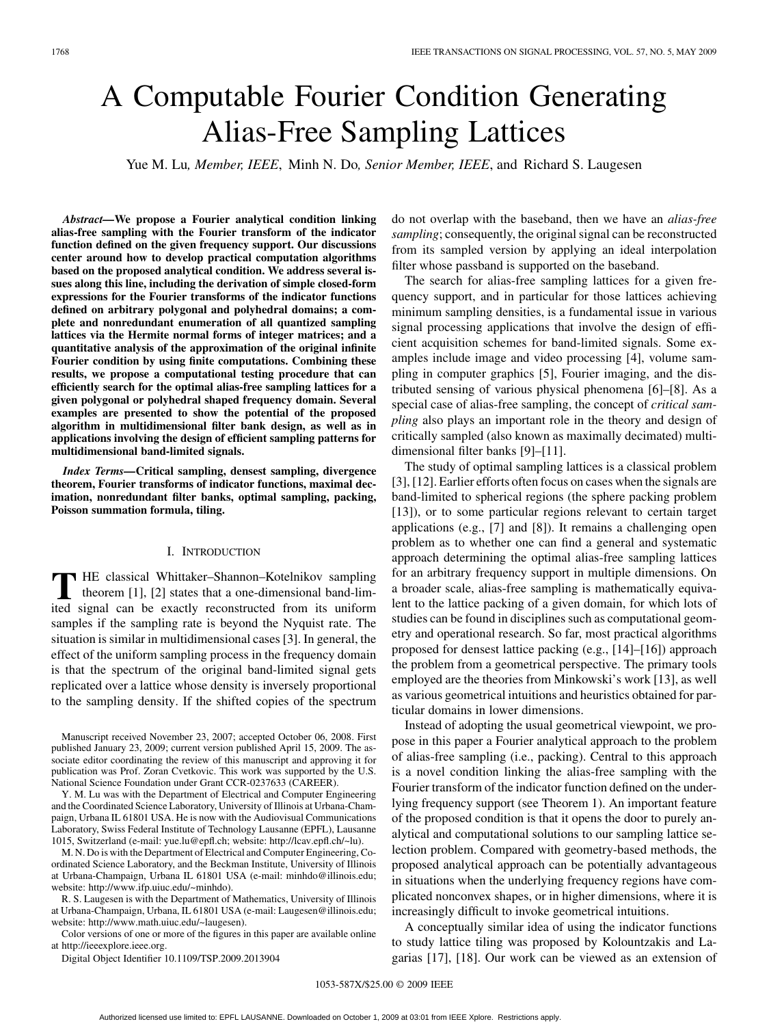# A Computable Fourier Condition Generating Alias-Free Sampling Lattices

Yue M. Lu*, Member, IEEE*, Minh N. Do*, Senior Member, IEEE*, and Richard S. Laugesen

*Abstract—***We propose a Fourier analytical condition linking alias-free sampling with the Fourier transform of the indicator function defined on the given frequency support. Our discussions center around how to develop practical computation algorithms based on the proposed analytical condition. We address several issues along this line, including the derivation of simple closed-form expressions for the Fourier transforms of the indicator functions defined on arbitrary polygonal and polyhedral domains; a complete and nonredundant enumeration of all quantized sampling lattices via the Hermite normal forms of integer matrices; and a quantitative analysis of the approximation of the original infinite Fourier condition by using finite computations. Combining these results, we propose a computational testing procedure that can efficiently search for the optimal alias-free sampling lattices for a given polygonal or polyhedral shaped frequency domain. Several examples are presented to show the potential of the proposed algorithm in multidimensional filter bank design, as well as in applications involving the design of efficient sampling patterns for multidimensional band-limited signals.**

*Index Terms—***Critical sampling, densest sampling, divergence theorem, Fourier transforms of indicator functions, maximal decimation, nonredundant filter banks, optimal sampling, packing, Poisson summation formula, tiling.**

## I. INTRODUCTION

**T** HE classical Whittaker–Shannon–Kotelnikov sampling<br>theorem [1], [2] states that a one-dimensional band-lim-<br>its signal can be exactly reconstructed from its uniform ited signal can be exactly reconstructed from its uniform samples if the sampling rate is beyond the Nyquist rate. The situation is similar in multidimensional cases [3]. In general, the effect of the uniform sampling process in the frequency domain is that the spectrum of the original band-limited signal gets replicated over a lattice whose density is inversely proportional to the sampling density. If the shifted copies of the spectrum

Manuscript received November 23, 2007; accepted October 06, 2008. First published January 23, 2009; current version published April 15, 2009. The associate editor coordinating the review of this manuscript and approving it for publication was Prof. Zoran Cvetkovic. This work was supported by the U.S. National Science Foundation under Grant CCR-0237633 (CAREER).

Y. M. Lu was with the Department of Electrical and Computer Engineering and the Coordinated Science Laboratory, University of Illinois at Urbana-Champaign, Urbana IL 61801 USA. He is now with the Audiovisual Communications Laboratory, Swiss Federal Institute of Technology Lausanne (EPFL), Lausanne 1015, Switzerland (e-mail: yue.lu@epfl.ch; website: http://lcav.epfl.ch/~lu).

M. N. Do is with the Department of Electrical and Computer Engineering, Coordinated Science Laboratory, and the Beckman Institute, University of Illinois at Urbana-Champaign, Urbana IL 61801 USA (e-mail: minhdo@illinois.edu; website: http://www.ifp.uiuc.edu/~minhdo).

R. S. Laugesen is with the Department of Mathematics, University of Illinois at Urbana-Champaign, Urbana, IL 61801 USA (e-mail: Laugesen@illinois.edu; website: http://www.math.uiuc.edu/~laugesen).

Color versions of one or more of the figures in this paper are available online at http://ieeexplore.ieee.org.

Digital Object Identifier 10.1109/TSP.2009.2013904

do not overlap with the baseband, then we have an *alias-free sampling*; consequently, the original signal can be reconstructed from its sampled version by applying an ideal interpolation filter whose passband is supported on the baseband.

The search for alias-free sampling lattices for a given frequency support, and in particular for those lattices achieving minimum sampling densities, is a fundamental issue in various signal processing applications that involve the design of efficient acquisition schemes for band-limited signals. Some examples include image and video processing [4], volume sampling in computer graphics [5], Fourier imaging, and the distributed sensing of various physical phenomena [6]–[8]. As a special case of alias-free sampling, the concept of *critical sampling* also plays an important role in the theory and design of critically sampled (also known as maximally decimated) multidimensional filter banks [9]–[11].

The study of optimal sampling lattices is a classical problem [3], [12]. Earlier efforts often focus on cases when the signals are band-limited to spherical regions (the sphere packing problem [13]), or to some particular regions relevant to certain target applications (e.g., [7] and [8]). It remains a challenging open problem as to whether one can find a general and systematic approach determining the optimal alias-free sampling lattices for an arbitrary frequency support in multiple dimensions. On a broader scale, alias-free sampling is mathematically equivalent to the lattice packing of a given domain, for which lots of studies can be found in disciplines such as computational geometry and operational research. So far, most practical algorithms proposed for densest lattice packing (e.g., [14]–[16]) approach the problem from a geometrical perspective. The primary tools employed are the theories from Minkowski's work [13], as well as various geometrical intuitions and heuristics obtained for particular domains in lower dimensions.

Instead of adopting the usual geometrical viewpoint, we propose in this paper a Fourier analytical approach to the problem of alias-free sampling (i.e., packing). Central to this approach is a novel condition linking the alias-free sampling with the Fourier transform of the indicator function defined on the underlying frequency support (see Theorem 1). An important feature of the proposed condition is that it opens the door to purely analytical and computational solutions to our sampling lattice selection problem. Compared with geometry-based methods, the proposed analytical approach can be potentially advantageous in situations when the underlying frequency regions have complicated nonconvex shapes, or in higher dimensions, where it is increasingly difficult to invoke geometrical intuitions.

A conceptually similar idea of using the indicator functions to study lattice tiling was proposed by Kolountzakis and Lagarias [17], [18]. Our work can be viewed as an extension of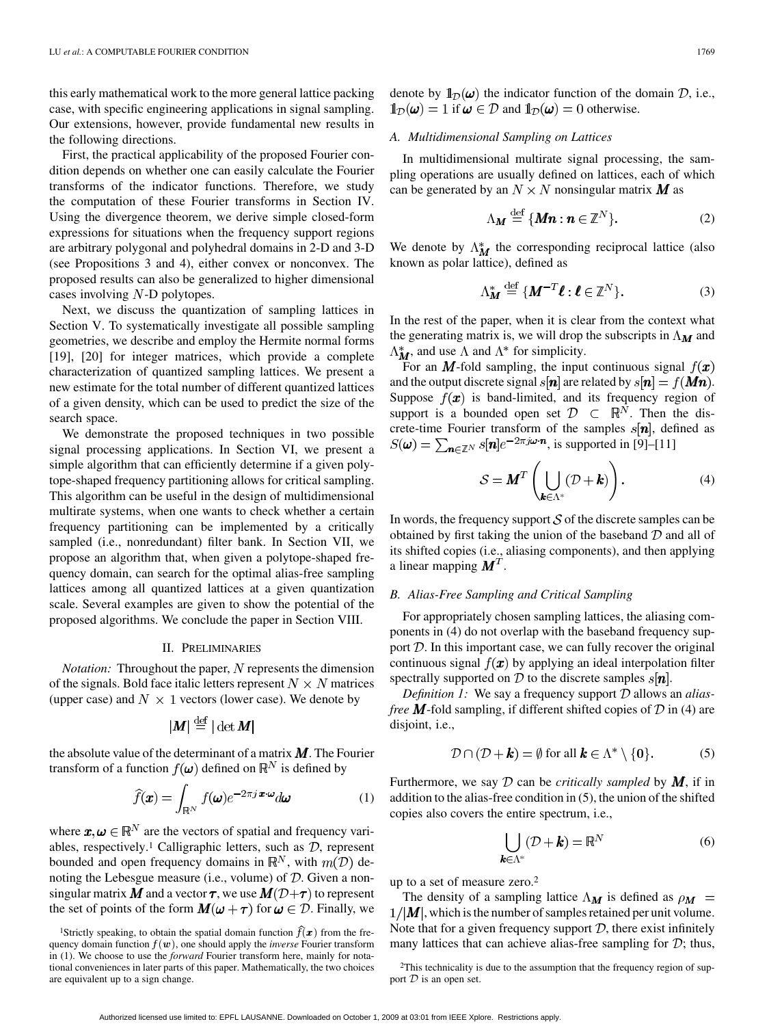this early mathematical work to the more general lattice packing case, with specific engineering applications in signal sampling. Our extensions, however, provide fundamental new results in the following directions.

First, the practical applicability of the proposed Fourier condition depends on whether one can easily calculate the Fourier transforms of the indicator functions. Therefore, we study the computation of these Fourier transforms in Section IV. Using the divergence theorem, we derive simple closed-form expressions for situations when the frequency support regions are arbitrary polygonal and polyhedral domains in 2-D and 3-D (see Propositions 3 and 4), either convex or nonconvex. The proposed results can also be generalized to higher dimensional cases involving  $N$ -D polytopes.

Next, we discuss the quantization of sampling lattices in Section V. To systematically investigate all possible sampling geometries, we describe and employ the Hermite normal forms [19], [20] for integer matrices, which provide a complete characterization of quantized sampling lattices. We present a new estimate for the total number of different quantized lattices of a given density, which can be used to predict the size of the search space.

We demonstrate the proposed techniques in two possible signal processing applications. In Section VI, we present a simple algorithm that can efficiently determine if a given polytope-shaped frequency partitioning allows for critical sampling. This algorithm can be useful in the design of multidimensional multirate systems, when one wants to check whether a certain frequency partitioning can be implemented by a critically sampled (i.e., nonredundant) filter bank. In Section VII, we propose an algorithm that, when given a polytope-shaped frequency domain, can search for the optimal alias-free sampling lattices among all quantized lattices at a given quantization scale. Several examples are given to show the potential of the proposed algorithms. We conclude the paper in Section VIII.

#### II. PRELIMINARIES

*Notation:* Throughout the paper, N represents the dimension of the signals. Bold face italic letters represent  $N \times N$  matrices (upper case) and  $N \times 1$  vectors (lower case). We denote by

$$
|\bm{M}| \stackrel{\text{def}}{=} |\det \bm{M}|
$$

the absolute value of the determinant of a matrix  $M$ . The Fourier transform of a function  $f(\boldsymbol{\omega})$  defined on  $\mathbb{R}^N$  is defined by

$$
\widehat{f}(\boldsymbol{x}) = \int_{\mathbb{R}^N} f(\boldsymbol{\omega}) e^{-2\pi j \boldsymbol{x} \cdot \boldsymbol{\omega}} d\boldsymbol{\omega}
$$
 (1)

where  $\mathbf{x}, \mathbf{\omega} \in \mathbb{R}^N$  are the vectors of spatial and frequency variables, respectively.<sup>1</sup> Calligraphic letters, such as  $D$ , represent bounded and open frequency domains in  $\mathbb{R}^N$ , with  $m(\mathcal{D})$  denoting the Lebesgue measure (i.e., volume) of  $D$ . Given a nonsingular matrix  $\mathbf{M}$  and a vector  $\boldsymbol{\tau}$ , we use  $\mathbf{M}(\mathcal{D}+\boldsymbol{\tau})$  to represent the set of points of the form  $M(\omega + \tau)$  for  $\omega \in \mathcal{D}$ . Finally, we denote by  $\mathbb{1}_{\mathcal{D}}(\omega)$  the indicator function of the domain  $\mathcal{D}$ , i.e.,  $\mathbb{1}_{\mathcal{D}}(\omega) = 1$  if  $\omega \in \mathcal{D}$  and  $\mathbb{1}_{\mathcal{D}}(\omega) = 0$  otherwise.

## *A. Multidimensional Sampling on Lattices*

In multidimensional multirate signal processing, the sampling operations are usually defined on lattices, each of which can be generated by an  $N \times N$  nonsingular matrix **M** as

$$
\Lambda_{\boldsymbol{M}} \stackrel{\text{def}}{=} \{ \boldsymbol{M}\boldsymbol{n} : \boldsymbol{n} \in \mathbb{Z}^N \}. \tag{2}
$$

We denote by  $\Lambda_M^*$  the corresponding reciprocal lattice (also known as polar lattice), defined as

$$
\Lambda_M^* \stackrel{\text{def}}{=} \{ M^{-T} \boldsymbol{\ell} : \boldsymbol{\ell} \in \mathbb{Z}^N \}. \tag{3}
$$

In the rest of the paper, when it is clear from the context what the generating matrix is, we will drop the subscripts in  $\Lambda_M$  and  $\Lambda_M^*$ , and use  $\Lambda$  and  $\Lambda^*$  for simplicity.

For an M-fold sampling, the input continuous signal  $f(\mathbf{x})$ and the output discrete signal  $s[n]$  are related by  $s[n] = f(Mn)$ . Suppose  $f(x)$  is band-limited, and its frequency region of support is a bounded open set  $\mathcal{D} \subset \mathbb{R}^N$ . Then the discrete-time Fourier transform of the samples  $s[n]$ , defined as  $S(\omega) = \sum_{n \in \mathbb{Z}^N} s[n] e^{-2\pi j \omega \cdot n}$ , is supported in [9]–[11]

$$
S = \boldsymbol{M}^T \left( \bigcup_{\boldsymbol{k} \in \Lambda^*} (\mathcal{D} + \boldsymbol{k}) \right). \tag{4}
$$

In words, the frequency support  $S$  of the discrete samples can be obtained by first taking the union of the baseband  $D$  and all of its shifted copies (i.e., aliasing components), and then applying a linear mapping  $M<sup>T</sup>$ .

## *B. Alias-Free Sampling and Critical Sampling*

For appropriately chosen sampling lattices, the aliasing components in (4) do not overlap with the baseband frequency support  $D$ . In this important case, we can fully recover the original continuous signal  $f(x)$  by applying an ideal interpolation filter spectrally supported on  $D$  to the discrete samples  $s[n]$ .

*Definition 1:* We say a frequency support  $D$  allows an *aliasfree* **M**-fold sampling, if different shifted copies of  $D$  in (4) are disjoint, i.e.,

$$
\mathcal{D} \cap (\mathcal{D} + \boldsymbol{k}) = \emptyset \text{ for all } \boldsymbol{k} \in \Lambda^* \setminus \{\boldsymbol{0}\}. \tag{5}
$$

Furthermore, we say  $D$  can be *critically sampled* by  $M$ , if in addition to the alias-free condition in (5), the union of the shifted copies also covers the entire spectrum, i.e.,

$$
\bigcup_{\boldsymbol{k}\in\Lambda^*} (\mathcal{D} + \boldsymbol{k}) = \mathbb{R}^N \tag{6}
$$

up to a set of measure zero.2

The density of a sampling lattice  $\Lambda_M$  is defined as  $\rho_M$  =  $1/|M|$ , which is the number of samples retained per unit volume. Note that for a given frequency support  $D$ , there exist infinitely many lattices that can achieve alias-free sampling for  $\mathcal{D}$ ; thus,

2This technicality is due to the assumption that the frequency region of support  $D$  is an open set.

<sup>&</sup>lt;sup>1</sup>Strictly speaking, to obtain the spatial domain function  $\hat{f}(\boldsymbol{x})$  from the frequency domain function  $f(\boldsymbol{w})$ , one should apply the *inverse* Fourier transform in (1). We choose to use the *forward* Fourier transform here, mainly for notational conveniences in later parts of this paper. Mathematically, the two choices are equivalent up to a sign change.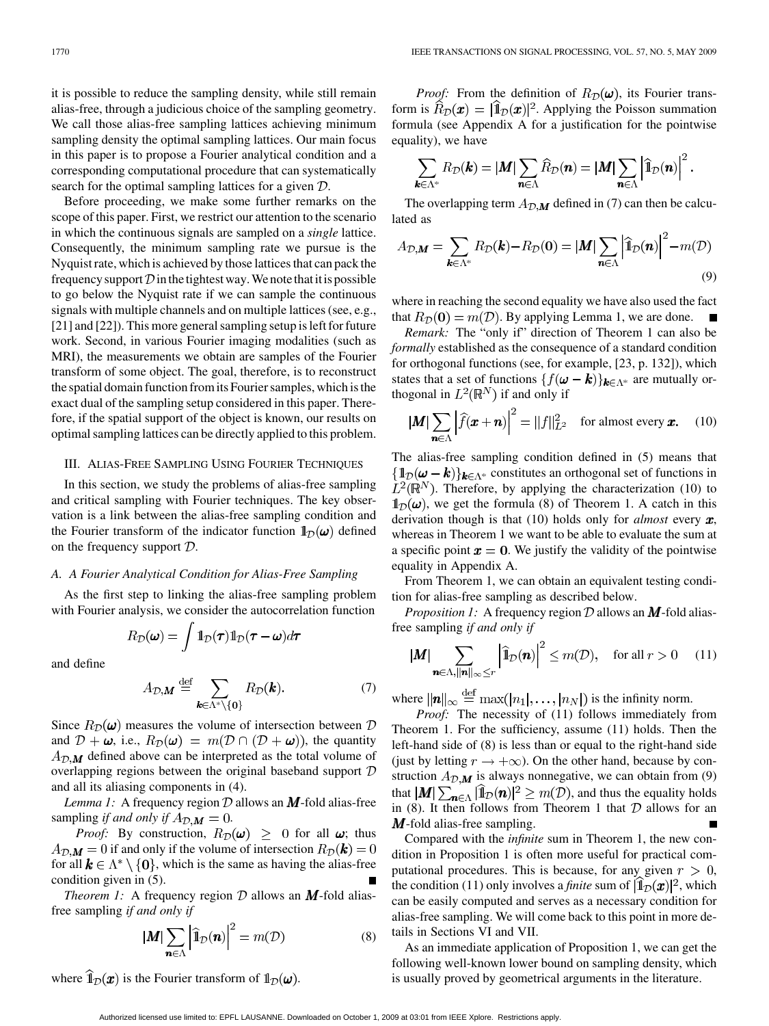it is possible to reduce the sampling density, while still remain alias-free, through a judicious choice of the sampling geometry. We call those alias-free sampling lattices achieving minimum sampling density the optimal sampling lattices. Our main focus in this paper is to propose a Fourier analytical condition and a corresponding computational procedure that can systematically search for the optimal sampling lattices for a given  $D$ .

Before proceeding, we make some further remarks on the scope of this paper. First, we restrict our attention to the scenario in which the continuous signals are sampled on a *single* lattice. Consequently, the minimum sampling rate we pursue is the Nyquist rate, which is achieved by those lattices that can pack the frequency support  $\mathcal D$  in the tightest way. We note that it is possible to go below the Nyquist rate if we can sample the continuous signals with multiple channels and on multiple lattices (see, e.g., [21] and [22]). This more general sampling setup is left for future work. Second, in various Fourier imaging modalities (such as MRI), the measurements we obtain are samples of the Fourier transform of some object. The goal, therefore, is to reconstruct the spatial domain function from its Fourier samples, which is the exact dual of the sampling setup considered in this paper. Therefore, if the spatial support of the object is known, our results on optimal sampling lattices can be directly applied to this problem.

## III. ALIAS-FREE SAMPLING USING FOURIER TECHNIQUES

In this section, we study the problems of alias-free sampling and critical sampling with Fourier techniques. The key observation is a link between the alias-free sampling condition and the Fourier transform of the indicator function  $1_{\mathcal{D}}(\omega)$  defined on the frequency support  $D$ .

## *A. A Fourier Analytical Condition for Alias-Free Sampling*

As the first step to linking the alias-free sampling problem with Fourier analysis, we consider the autocorrelation function

$$
R_{\mathcal{D}}(\boldsymbol{\omega}) = \int \mathbb{1}_{\mathcal{D}}(\boldsymbol{\tau}) \mathbb{1}_{\mathcal{D}}(\boldsymbol{\tau} - \boldsymbol{\omega}) d\boldsymbol{\tau}
$$

and define

$$
A_{\mathcal{D},\mathbf{M}} \stackrel{\text{def}}{=} \sum_{\mathbf{k}\in\Lambda^*\backslash\{\mathbf{0}\}} R_{\mathcal{D}}(\mathbf{k}).\tag{7}
$$

Since  $R_{\mathcal{D}}(\omega)$  measures the volume of intersection between  $\mathcal{D}$ and  $\mathcal{D} + \omega$ , i.e.,  $R_{\mathcal{D}}(\omega) = m(\mathcal{D} \cap (\mathcal{D} + \omega))$ , the quantity  $A_{\mathcal{D},\mathbf{M}}$  defined above can be interpreted as the total volume of overlapping regions between the original baseband support  $D$ and all its aliasing components in (4).

*Lemma 1:* A frequency region  $D$  allows an  $M$ -fold alias-free sampling *if and only if*  $A_{\mathcal{D},\mathbf{M}}=0$ .

*Proof:* By construction,  $R_{\mathcal{D}}(\omega) \geq 0$  for all  $\omega$ ; thus  $A_{\mathcal{D},\mathbf{M}}=0$  if and only if the volume of intersection  $R_{\mathcal{D}}(\mathbf{k})=0$ for all  $k \in \Lambda^* \setminus \{0\}$ , which is the same as having the alias-free condition given in (5).

*Theorem 1:* A frequency region  $D$  allows an  $M$ -fold aliasfree sampling *if and only if*

$$
|\mathbf{M}| \sum_{\mathbf{n} \in \Lambda} \left| \widehat{\mathbf{1}}_{\mathcal{D}}(\mathbf{n}) \right|^2 = m(\mathcal{D}) \tag{8}
$$

where  $\hat{I}_{\mathcal{D}}(x)$  is the Fourier transform of  $I_{\mathcal{D}}(\omega)$ .

*Proof:* From the definition of  $R_{\mathcal{D}}(\omega)$ , its Fourier transform is  $\hat{R}_{\mathcal{D}}(\mathbf{x}) = [\hat{\mathbb{1}}_{\mathcal{D}}(\mathbf{x})]^2$ . Applying the Poisson summation formula (see Appendix A for a justification for the pointwise equality), we have

$$
\sum_{\boldsymbol{k}\in\Lambda^*}R_{\mathcal{D}}(\boldsymbol{k})=|\boldsymbol{M}|\sum_{\boldsymbol{n}\in\Lambda}\widehat{R}_{\mathcal{D}}(\boldsymbol{n})=|\boldsymbol{M}|\sum_{\boldsymbol{n}\in\Lambda}\left|\widehat{\mathbb{1}}_{\mathcal{D}}(\boldsymbol{n})\right|^2.
$$

The overlapping term  $A_{\mathcal{D},\mathbf{M}}$  defined in (7) can then be calculated as

$$
A_{\mathcal{D},\mathbf{M}} = \sum_{\mathbf{k}\in\Lambda^*} R_{\mathcal{D}}(\mathbf{k}) - R_{\mathcal{D}}(\mathbf{0}) = |\mathbf{M}| \sum_{\mathbf{n}\in\Lambda} \left| \widehat{\mathbb{1}}_{\mathcal{D}}(\mathbf{n}) \right|^2 - m(\mathcal{D})
$$
\n(9)

where in reaching the second equality we have also used the fact that  $R_{\mathcal{D}}(0) = m(\mathcal{D})$ . By applying Lemma 1, we are done.

*Remark:* The "only if" direction of Theorem 1 can also be *formally* established as the consequence of a standard condition for orthogonal functions (see, for example, [23, p. 132]), which states that a set of functions  $\{f(\boldsymbol{\omega} - \boldsymbol{k})\}_{\boldsymbol{k} \in \Lambda^*}$  are mutually orthogonal in  $L^2(\mathbb{R}^N)$  if and only if

$$
|\mathbf{M}| \sum_{\mathbf{n} \in \Lambda} \left| \widehat{f}(\mathbf{x} + \mathbf{n}) \right|^2 = ||f||_{L^2}^2 \quad \text{for almost every } \mathbf{x}.
$$
 (10)

The alias-free sampling condition defined in (5) means that  $\{\mathbb{1}_{\mathcal{D}}(\omega - k)\}_{k \in \Lambda^*}$  constitutes an orthogonal set of functions in  $L^2(\mathbb{R}^N)$ . Therefore, by applying the characterization (10) to  $\mathbb{1}_{\mathcal{D}}(\omega)$ , we get the formula (8) of Theorem 1. A catch in this derivation though is that  $(10)$  holds only for *almost* every  $x$ , whereas in Theorem 1 we want to be able to evaluate the sum at a specific point  $x = 0$ . We justify the validity of the pointwise equality in Appendix A.

From Theorem 1, we can obtain an equivalent testing condition for alias-free sampling as described below.

*Proposition 1:* A frequency region  $D$  allows an  $M$ -fold aliasfree sampling *if and only if*

$$
|\mathbf{M}| \sum_{\mathbf{n} \in \Lambda, ||\mathbf{n}||_{\infty} \le r} \left| \widehat{\mathbf{1}}_{\mathcal{D}}(\mathbf{n}) \right|^2 \le m(\mathcal{D}), \quad \text{for all } r > 0 \quad (11)
$$

where  $\|\boldsymbol{n}\|_{\infty} \stackrel{\text{def}}{=} \max(|n_1|, \ldots, |n_N|)$  is the infinity norm.

*Proof:* The necessity of (11) follows immediately from Theorem 1. For the sufficiency, assume (11) holds. Then the left-hand side of (8) is less than or equal to the right-hand side (just by letting  $r \to +\infty$ ). On the other hand, because by construction  $A_{\mathcal{D},\mathbf{M}}$  is always nonnegative, we can obtain from (9) that  $|M| \sum_{n \in \Lambda} | \mathbb{1}_D(n)|^2 \ge m(\mathcal{D})$ , and thus the equality holds in (8). It then follows from Theorem 1 that  $D$  allows for an  $M$ -fold alias-free sampling.

Compared with the *infinite* sum in Theorem 1, the new condition in Proposition 1 is often more useful for practical computational procedures. This is because, for any given  $r > 0$ , the condition (11) only involves a *finite* sum of  $|\mathbb{1}_D(\pmb{x})|^2$ , which can be easily computed and serves as a necessary condition for alias-free sampling. We will come back to this point in more details in Sections VI and VII.

As an immediate application of Proposition 1, we can get the following well-known lower bound on sampling density, which is usually proved by geometrical arguments in the literature.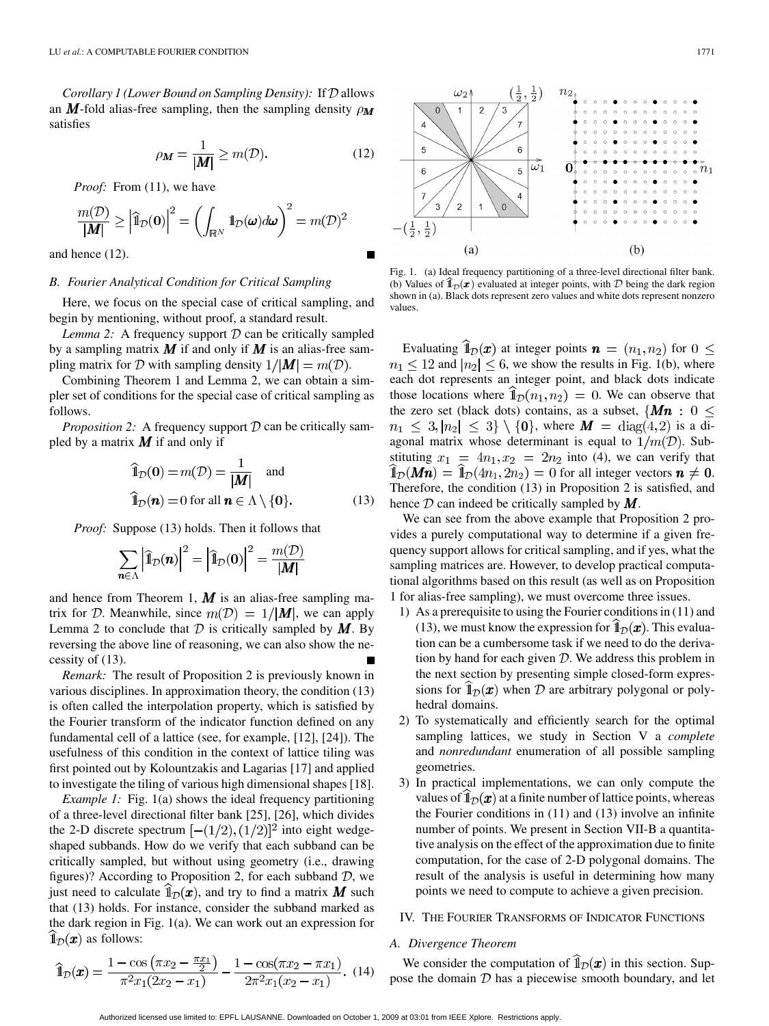*Corollary 1 (Lower Bound on Sampling Density):* If  $D$  allows an M-fold alias-free sampling, then the sampling density  $\rho_M$ satisfies

$$
\rho_M = \frac{1}{|M|} \ge m(\mathcal{D}).\tag{12}
$$

*Proof:* From (11), we have

$$
\frac{m(\mathcal{D})}{|\mathbf{M}|} \geq \left| \widehat{\mathbf{1}}_{\mathcal{D}}(\mathbf{0}) \right|^2 = \left( \int_{\mathbb{R}^N} \mathbf{1}_{\mathcal{D}}(\boldsymbol{\omega}) d\boldsymbol{\omega} \right)^2 = m(\mathcal{D})^2
$$

and hence (12).

## *B. Fourier Analytical Condition for Critical Sampling*

Here, we focus on the special case of critical sampling, and begin by mentioning, without proof, a standard result.

*Lemma 2:* A frequency support  $D$  can be critically sampled by a sampling matrix  $M$  if and only if  $M$  is an alias-free sampling matrix for D with sampling density  $1/|\mathbf{M}| = m(\mathcal{D})$ .

Combining Theorem 1 and Lemma 2, we can obtain a simpler set of conditions for the special case of critical sampling as follows.

*Proposition 2:* A frequency support  $D$  can be critically sampled by a matrix  $M$  if and only if

$$
\widehat{\mathbf{1}}_{\mathcal{D}}(\mathbf{0}) = m(\mathcal{D}) = \frac{1}{|\mathbf{M}|} \text{ and}
$$
  

$$
\widehat{\mathbf{1}}_{\mathcal{D}}(\mathbf{n}) = 0 \text{ for all } \mathbf{n} \in \Lambda \setminus \{\mathbf{0}\}. \tag{13}
$$

*Proof:* Suppose (13) holds. Then it follows that

$$
\sum_{\boldsymbol{n}\in\Lambda}\left|\widehat{\mathbb{1}}_{\mathcal{D}}(\boldsymbol{n})\right|^2=\left|\widehat{\mathbb{1}}_{\mathcal{D}}(\boldsymbol{0})\right|^2=\frac{m(\mathcal{D})}{|\boldsymbol{M}|}
$$

and hence from Theorem 1,  $\boldsymbol{M}$  is an alias-free sampling matrix for D. Meanwhile, since  $m(D) = 1/|\mathbf{M}|$ , we can apply Lemma 2 to conclude that  $\mathcal D$  is critically sampled by  $M$ . By reversing the above line of reasoning, we can also show the necessity of (13).

*Remark:* The result of Proposition 2 is previously known in various disciplines. In approximation theory, the condition (13) is often called the interpolation property, which is satisfied by the Fourier transform of the indicator function defined on any fundamental cell of a lattice (see, for example, [12], [24]). The usefulness of this condition in the context of lattice tiling was first pointed out by Kolountzakis and Lagarias [17] and applied to investigate the tiling of various high dimensional shapes [18].

*Example 1:* Fig. 1(a) shows the ideal frequency partitioning of a three-level directional filter bank [25], [26], which divides the 2-D discrete spectrum  $[-(1/2),(1/2)]^2$  into eight wedgeshaped subbands. How do we verify that each subband can be critically sampled, but without using geometry (i.e., drawing figures)? According to Proposition 2, for each subband  $D$ , we just need to calculate  $\mathbb{1}_{\mathcal{D}}(x)$ , and try to find a matrix M such that (13) holds. For instance, consider the subband marked as the dark region in Fig. 1(a). We can work out an expression for  $\mathbb{1}_{\mathcal{D}}(x)$  as follows:

 $\widehat{\mathbb{1}}_{\mathcal{D}}(\boldsymbol{x}) = \frac{1 - \cos\left(\pi x_2 - \frac{\pi x_1}{2}\right)}{\pi^2 x_1 (2x_2 - x_1)} - \frac{1 - \cos(\pi x_2 - \pi x_1)}{2\pi^2 x_1 (x_2 - x_1)}.$  (14)



Fig. 1. (a) Ideal frequency partitioning of a three-level directional filter bank. (b) Values of  $\hat{1}_D(x)$  evaluated at integer points, with  $D$  being the dark region shown in (a). Black dots represent zero values and white dots represent nonzero values.

Evaluating  $\hat{I}_{\mathcal{D}}(x)$  at integer points  $\boldsymbol{n} = (n_1, n_2)$  for  $0 \leq$  $n_1 \leq 12$  and  $|n_2| \leq 6$ , we show the results in Fig. 1(b), where each dot represents an integer point, and black dots indicate those locations where  $\hat{I}_{\mathcal{D}}(n_1, n_2) = 0$ . We can observe that the zero set (black dots) contains, as a subset,  $\{Mn : 0 \leq$  $n_1 \leq 3, |n_2| \leq 3$  \ {0}, where  $M = \text{diag}(4,2)$  is a diagonal matrix whose determinant is equal to  $1/m(\mathcal{D})$ . Substituting  $x_1 = 4n_1, x_2 = 2n_2$  into (4), we can verify that  $\hat{\mathbb{I}}_{\mathcal{D}}(Mn) = \hat{\mathbb{I}}_{\mathcal{D}}(4n_1, 2n_2) = 0$  for all integer vectors  $n \neq 0$ . Therefore, the condition (13) in Proposition 2 is satisfied, and hence  $\mathcal D$  can indeed be critically sampled by  $M$ .

We can see from the above example that Proposition 2 provides a purely computational way to determine if a given frequency support allows for critical sampling, and if yes, what the sampling matrices are. However, to develop practical computational algorithms based on this result (as well as on Proposition 1 for alias-free sampling), we must overcome three issues.

- 1) As a prerequisite to using the Fourier conditions in (11) and (13), we must know the expression for  $\hat{I}_{\mathcal{D}}(x)$ . This evaluation can be a cumbersome task if we need to do the derivation by hand for each given  $D$ . We address this problem in the next section by presenting simple closed-form expressions for  $\mathbb{1}_{\mathcal{D}}(x)$  when  $\mathcal D$  are arbitrary polygonal or polyhedral domains.
- 2) To systematically and efficiently search for the optimal sampling lattices, we study in Section V a *complete* and *nonredundant* enumeration of all possible sampling geometries.
- 3) In practical implementations, we can only compute the values of  $\mathbb{1}_{\mathcal{D}}(x)$  at a finite number of lattice points, whereas the Fourier conditions in (11) and (13) involve an infinite number of points. We present in Section VII-B a quantitative analysis on the effect of the approximation due to finite computation, for the case of 2-D polygonal domains. The result of the analysis is useful in determining how many points we need to compute to achieve a given precision.

## IV. THE FOURIER TRANSFORMS OF INDICATOR FUNCTIONS

## *A. Divergence Theorem*

We consider the computation of  $\widehat{1}_D(x)$  in this section. Suppose the domain  $D$  has a piecewise smooth boundary, and let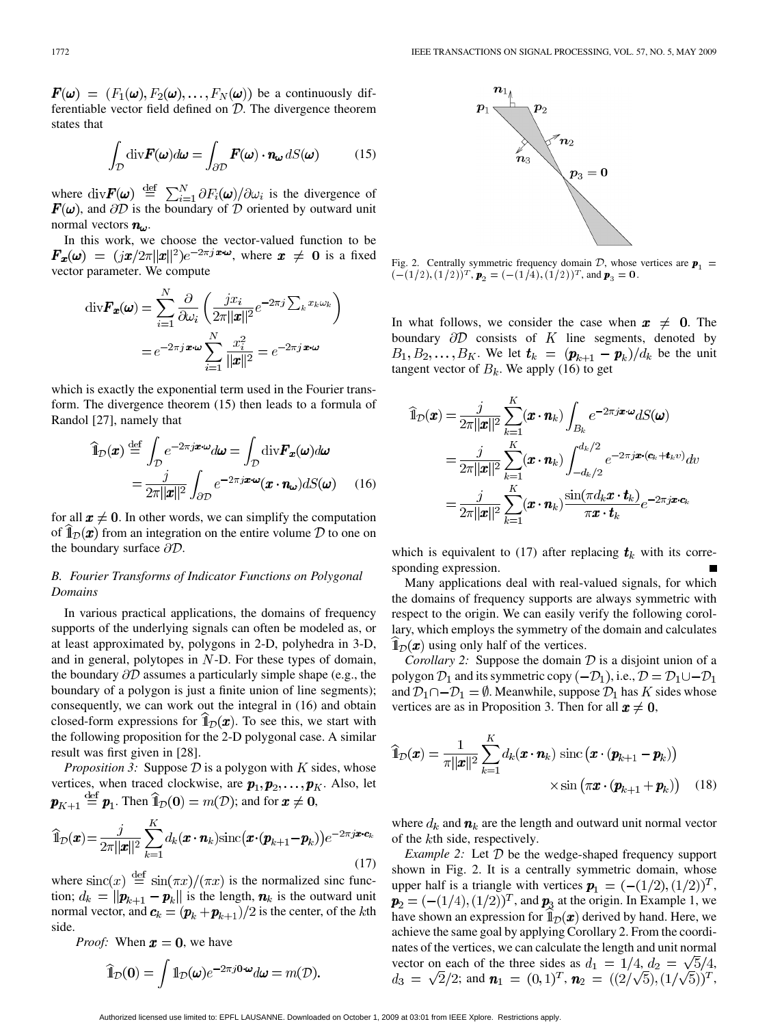$\mathbf{F}(\boldsymbol{\omega}) = (F_1(\boldsymbol{\omega}), F_2(\boldsymbol{\omega}), \dots, F_N(\boldsymbol{\omega}))$  be a continuously differentiable vector field defined on  $D$ . The divergence theorem states that

$$
\int_{\mathcal{D}} \text{div} \boldsymbol{F}(\boldsymbol{\omega}) d\boldsymbol{\omega} = \int_{\partial \mathcal{D}} \boldsymbol{F}(\boldsymbol{\omega}) \cdot \boldsymbol{n}_{\boldsymbol{\omega}} dS(\boldsymbol{\omega}) \tag{15}
$$

where  $\text{div} \mathbf{F}(\boldsymbol{\omega}) \stackrel{\text{def}}{=} \sum_{i=1}^{N} \partial F_i(\boldsymbol{\omega}) / \partial \omega_i$  is the divergence of , and  $\partial D$  is the boundary of  $D$  oriented by outward unit normal vectors  $n_{\omega}$ .

In this work, we choose the vector-valued function to be  $\mathbf{F}_x(\omega) = (jx/2\pi ||x||^2)e^{-2\pi jx \cdot \omega}$ , where  $x \neq 0$  is a fixed vector parameter. We compute

$$
\operatorname{div} \boldsymbol{F}_{\boldsymbol{x}}(\boldsymbol{\omega}) = \sum_{i=1}^{N} \frac{\partial}{\partial \omega_i} \left( \frac{j x_i}{2\pi ||\boldsymbol{x}||^2} e^{-2\pi j \sum_k x_k \omega_k} \right)
$$

$$
= e^{-2\pi j \boldsymbol{x} \cdot \boldsymbol{\omega}} \sum_{i=1}^{N} \frac{x_i^2}{||\boldsymbol{x}||^2} = e^{-2\pi j \boldsymbol{x} \cdot \boldsymbol{\omega}}
$$

which is exactly the exponential term used in the Fourier transform. The divergence theorem (15) then leads to a formula of Randol [27], namely that

$$
\widehat{\mathbb{1}}_{\mathcal{D}}(\boldsymbol{x}) \stackrel{\text{def}}{=} \int_{\mathcal{D}} e^{-2\pi j \boldsymbol{x} \cdot \boldsymbol{\omega}} d\boldsymbol{\omega} = \int_{\mathcal{D}} \text{div} \boldsymbol{F}_{\boldsymbol{x}}(\boldsymbol{\omega}) d\boldsymbol{\omega}
$$
\n
$$
= \frac{j}{2\pi ||\boldsymbol{x}||^2} \int_{\partial \mathcal{D}} e^{-2\pi j \boldsymbol{x} \cdot \boldsymbol{\omega}} (\boldsymbol{x} \cdot \boldsymbol{n}_{\boldsymbol{\omega}}) dS(\boldsymbol{\omega}) \qquad (16)
$$

for all  $x \neq 0$ . In other words, we can simplify the computation of  $\mathbb{1}_{\mathcal{D}}(\boldsymbol{x})$  from an integration on the entire volume  $\mathcal D$  to one on the boundary surface  $\partial \mathcal{D}$ .

## *B. Fourier Transforms of Indicator Functions on Polygonal Domains*

In various practical applications, the domains of frequency supports of the underlying signals can often be modeled as, or at least approximated by, polygons in 2-D, polyhedra in 3-D, and in general, polytopes in  $N$ -D. For these types of domain, the boundary  $\partial D$  assumes a particularly simple shape (e.g., the boundary of a polygon is just a finite union of line segments); consequently, we can work out the integral in (16) and obtain closed-form expressions for  $\mathbb{1}_{\mathcal{D}}(x)$ . To see this, we start with the following proposition for the 2-D polygonal case. A similar result was first given in [28].

*Proposition 3:* Suppose  $D$  is a polygon with  $K$  sides, whose vertices, when traced clockwise, are  $p_1, p_2, \ldots, p_K$ . Also, let  $\mathbf{p}_{K+1} \stackrel{\text{def}}{=} \mathbf{p}_1$ . Then  $\widehat{\mathbb{1}}_{\mathcal{D}}(0) = m(\mathcal{D})$ ; and for  $\mathbf{x} \neq 0$ ,

$$
\widehat{\mathbb{1}}_{\mathcal{D}}(\boldsymbol{x}) = \frac{j}{2\pi||\boldsymbol{x}||^2} \sum_{k=1}^K d_k(\boldsymbol{x} \cdot \boldsymbol{n}_k) \text{sinc}(\boldsymbol{x} \cdot (\boldsymbol{p}_{k+1} - \boldsymbol{p}_k)) e^{-2\pi j \boldsymbol{x} \cdot \boldsymbol{c}_k}
$$
\n(17)

where  $\text{sinc}(x) \stackrel{\text{def}}{=} \text{sin}(\pi x) / (\pi x)$  is the normalized sinc function;  $d_k = ||\boldsymbol{p}_{k+1} - \boldsymbol{p}_k||$  is the length,  $\boldsymbol{n}_k$  is the outward unit normal vector, and  $c_k = (p_k + p_{k+1})/2$  is the center, of the kth side.

*Proof:* When  $x = 0$ , we have

$$
\widehat{\mathbb{1}}_{\mathcal{D}}(0) = \int \mathbb{1}_{\mathcal{D}}(\boldsymbol{\omega}) e^{-2\pi j \mathbf{0} \cdot \boldsymbol{\omega}} d\boldsymbol{\omega} = m(\mathcal{D}).
$$



Fig. 2. Centrally symmetric frequency domain  $D$ , whose vertices are  $p_1 =$  $(- (1/2), (1/2))^{T}$ ,  $\mathbf{p}_2 = (- (1/4), (1/2))^{T}$ , and  $\mathbf{p}_3 = 0$ .

In what follows, we consider the case when  $x \neq 0$ . The boundary  $\partial D$  consists of K line segments, denoted by  $B_1, B_2, \ldots, B_K$ . We let  $t_k = (p_{k+1} - p_k)/d_k$  be the unit tangent vector of  $B_k$ . We apply (16) to get

$$
\widehat{\mathbf{1}}_{\mathcal{D}}(\boldsymbol{x}) = \frac{j}{2\pi||\boldsymbol{x}||^2} \sum_{k=1}^K (\boldsymbol{x} \cdot \boldsymbol{n}_k) \int_{B_k} e^{-2\pi j \boldsymbol{x} \cdot \boldsymbol{\omega}} dS(\boldsymbol{\omega})
$$
\n
$$
= \frac{j}{2\pi||\boldsymbol{x}||^2} \sum_{k=1}^K (\boldsymbol{x} \cdot \boldsymbol{n}_k) \int_{-d_k/2}^{d_k/2} e^{-2\pi j \boldsymbol{x} \cdot (\boldsymbol{c}_k + \boldsymbol{t}_k v)} dv
$$
\n
$$
= \frac{j}{2\pi||\boldsymbol{x}||^2} \sum_{k=1}^K (\boldsymbol{x} \cdot \boldsymbol{n}_k) \frac{\sin(\pi d_k \boldsymbol{x} \cdot \boldsymbol{t}_k)}{\pi \boldsymbol{x} \cdot \boldsymbol{t}_k} e^{-2\pi j \boldsymbol{x} \cdot \boldsymbol{c}_k}
$$

which is equivalent to (17) after replacing  $t_k$  with its corresponding expression.

Many applications deal with real-valued signals, for which the domains of frequency supports are always symmetric with respect to the origin. We can easily verify the following corollary, which employs the symmetry of the domain and calculates  $\mathbb{1}_{\mathcal{D}}(x)$  using only half of the vertices.

*Corollary 2:* Suppose the domain  $D$  is a disjoint union of a polygon  $\mathcal{D}_1$  and its symmetric copy  $(-\mathcal{D}_1)$ , i.e.,  $\mathcal{D} = \mathcal{D}_1 \cup -\mathcal{D}_1$ and  $\mathcal{D}_1 \cap -\mathcal{D}_1 = \emptyset$ . Meanwhile, suppose  $\mathcal{D}_1$  has K sides whose vertices are as in Proposition 3. Then for all  $x \neq 0$ ,

$$
\widehat{\mathbb{1}}_{\mathcal{D}}(\boldsymbol{x}) = \frac{1}{\pi ||\boldsymbol{x}||^2} \sum_{k=1}^K d_k(\boldsymbol{x} \cdot \boldsymbol{n}_k) \operatorname{sinc} (\boldsymbol{x} \cdot (\boldsymbol{p}_{k+1} - \boldsymbol{p}_k))
$$

$$
\times \operatorname{sin} (\pi \boldsymbol{x} \cdot (\boldsymbol{p}_{k+1} + \boldsymbol{p}_k)) \quad (18)
$$

where  $d_k$  and  $\mathbf{n}_k$  are the length and outward unit normal vector of the  $k$ th side, respectively.

*Example 2:* Let  $D$  be the wedge-shaped frequency support shown in Fig. 2. It is a centrally symmetric domain, whose upper half is a triangle with vertices  $p_1 = (-(1/2), (1/2))^T$ ,  $\mathbf{p}_2 = (-(1/4), (1/2))^T$ , and  $\mathbf{p}_3$  at the origin. In Example 1, we have shown an expression for  $\mathbb{1}_{\mathcal{D}}(x)$  derived by hand. Here, we achieve the same goal by applying Corollary 2. From the coordinates of the vertices, we can calculate the length and unit normal vector on each of the three sides as  $d_1 = 1/4$ ,  $d_2 = \sqrt{5}/4$ , ; and  $\mathbf{n}_1 = (0,1)^T$ ,  $\mathbf{n}_2 = ((2/\sqrt{5}), (1/\sqrt{5}))^T$ ,

Authorized licensed use limited to: EPFL LAUSANNE. Downloaded on October 1, 2009 at 03:01 from IEEE Xplore. Restrictions apply.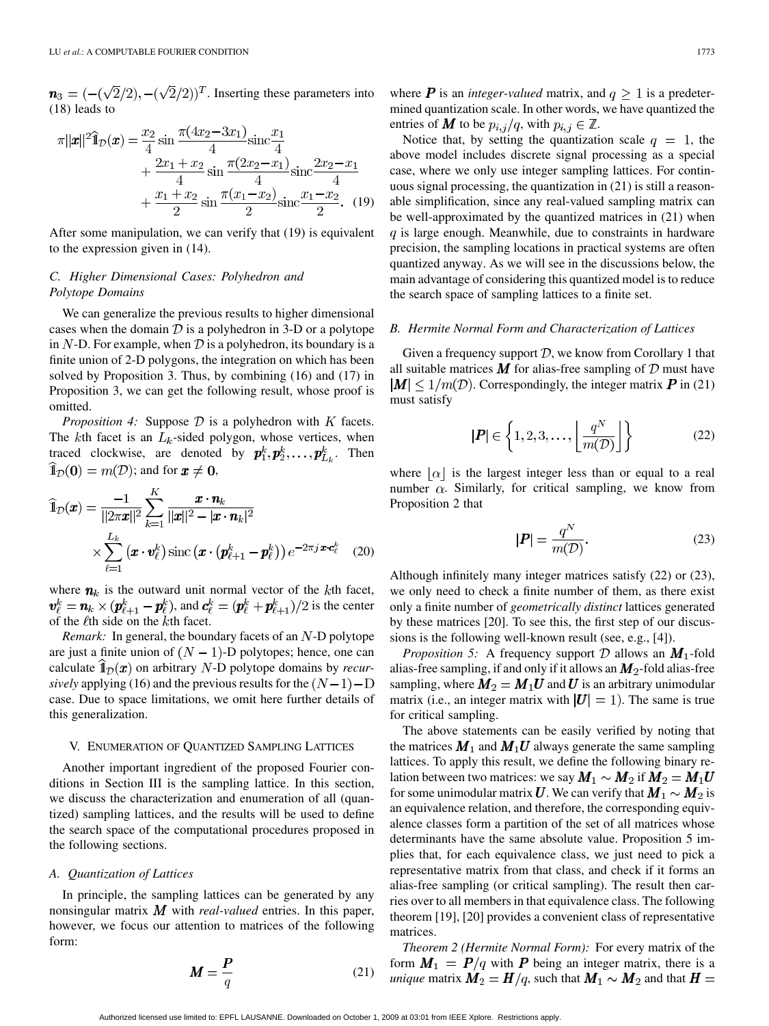$\mathbf{n}_3 = (-(\sqrt{2}/2), -(\sqrt{2}/2))^T$ . Inserting these parameters into (18) leads to

$$
\pi ||\boldsymbol{x}||^2 \widehat{\mathbb{1}}_{\mathcal{D}}(\boldsymbol{x}) = \frac{x_2}{4} \sin \frac{\pi (4x_2 - 3x_1)}{4} \text{sinc} \frac{x_1}{4} \n+ \frac{2x_1 + x_2}{4} \sin \frac{\pi (2x_2 - x_1)}{4} \text{sinc} \frac{2x_2 - x_1}{4} \n+ \frac{x_1 + x_2}{2} \sin \frac{\pi (x_1 - x_2)}{2} \text{sinc} \frac{x_1 - x_2}{2}. (19)
$$

After some manipulation, we can verify that (19) is equivalent to the expression given in (14).

# *C. Higher Dimensional Cases: Polyhedron and Polytope Domains*

We can generalize the previous results to higher dimensional cases when the domain  $D$  is a polyhedron in 3-D or a polytope in N-D. For example, when  $\mathcal D$  is a polyhedron, its boundary is a finite union of 2-D polygons, the integration on which has been solved by Proposition 3. Thus, by combining (16) and (17) in Proposition 3, we can get the following result, whose proof is omitted.

*Proposition 4:* Suppose  $D$  is a polyhedron with  $K$  facets. The  $k$ th facet is an  $L_k$ -sided polygon, whose vertices, when traced clockwise, are denoted by  $p_1^k, p_2^k, \ldots, p_{L_k}^k$ . Then  $\widehat{1}_{\mathcal{D}}(0) = m(\mathcal{D})$ ; and for  $x \neq 0$ ,

$$
\widehat{\mathbb{1}}_{\mathcal{D}}(\boldsymbol{x}) = \frac{-1}{\|2\pi\boldsymbol{x}\|^2} \sum_{k=1}^K \frac{\boldsymbol{x} \cdot \boldsymbol{n}_k}{\|\boldsymbol{x}\|^2 - |\boldsymbol{x} \cdot \boldsymbol{n}_k|^2} \times \sum_{\ell=1}^{L_k} (\boldsymbol{x} \cdot \boldsymbol{v}_{\ell}^k) \operatorname{sinc} (\boldsymbol{x} \cdot (\boldsymbol{p}_{\ell+1}^k - \boldsymbol{p}_{\ell}^k)) e^{-2\pi j \boldsymbol{x} \cdot \boldsymbol{c}_{\ell}^k} \tag{20}
$$

where  $n_k$  is the outward unit normal vector of the kth facet,  $\mathbf{v}_{\ell}^k = \mathbf{n}_k \times (\mathbf{p}_{\ell+1}^k - \mathbf{p}_{\ell}^k)$ , and  $\mathbf{c}_{\ell}^k = (\mathbf{p}_{\ell}^k + \mathbf{p}_{\ell+1}^k)/2$  is the center of the  $\ell$ th side on the  $k$ th facet.

*Remark:* In general, the boundary facets of an  $N$ -D polytope are just a finite union of  $(N - 1)$ -D polytopes; hence, one can calculate  $\mathbb{1}_D(x)$  on arbitrary N-D polytope domains by *recursively* applying (16) and the previous results for the  $(N-1)$  – D case. Due to space limitations, we omit here further details of this generalization.

## V. ENUMERATION OF QUANTIZED SAMPLING LATTICES

Another important ingredient of the proposed Fourier conditions in Section III is the sampling lattice. In this section, we discuss the characterization and enumeration of all (quantized) sampling lattices, and the results will be used to define the search space of the computational procedures proposed in the following sections.

## *A. Quantization of Lattices*

In principle, the sampling lattices can be generated by any nonsingular matrix  $M$  with *real-valued* entries. In this paper, however, we focus our attention to matrices of the following form:

$$
M = \frac{P}{q} \tag{21}
$$

where **P** is an *integer-valued* matrix, and  $q \geq 1$  is a predetermined quantization scale. In other words, we have quantized the entries of **M** to be  $p_{i,j}/q$ , with  $p_{i,j} \in \mathbb{Z}$ .

Notice that, by setting the quantization scale  $q = 1$ , the above model includes discrete signal processing as a special case, where we only use integer sampling lattices. For continuous signal processing, the quantization in (21) is still a reasonable simplification, since any real-valued sampling matrix can be well-approximated by the quantized matrices in (21) when  $q$  is large enough. Meanwhile, due to constraints in hardware precision, the sampling locations in practical systems are often quantized anyway. As we will see in the discussions below, the main advantage of considering this quantized model is to reduce the search space of sampling lattices to a finite set.

## *B. Hermite Normal Form and Characterization of Lattices*

Given a frequency support  $D$ , we know from Corollary 1 that all suitable matrices  $\vec{M}$  for alias-free sampling of  $\vec{D}$  must have  $|M| \leq 1/m(\mathcal{D})$ . Correspondingly, the integer matrix P in (21) must satisfy

$$
|\boldsymbol{P}| \in \left\{ 1, 2, 3, \dots, \left\lfloor \frac{q^N}{m(\mathcal{D})} \right\rfloor \right\}
$$
 (22)

where  $|\alpha|$  is the largest integer less than or equal to a real number  $\alpha$ . Similarly, for critical sampling, we know from Proposition 2 that

$$
|\boldsymbol{P}| = \frac{q^N}{m(\mathcal{D})}.\tag{23}
$$

Although infinitely many integer matrices satisfy (22) or (23), we only need to check a finite number of them, as there exist only a finite number of *geometrically distinct* lattices generated by these matrices [20]. To see this, the first step of our discussions is the following well-known result (see, e.g., [4]).

*Proposition 5:* A frequency support  $D$  allows an  $M_1$ -fold alias-free sampling, if and only if it allows an  $M_2$ -fold alias-free sampling, where  $M_2 = M_1 U$  and U is an arbitrary unimodular matrix (i.e., an integer matrix with  $|U| = 1$ ). The same is true for critical sampling.

The above statements can be easily verified by noting that the matrices  $M_1$  and  $M_1U$  always generate the same sampling lattices. To apply this result, we define the following binary relation between two matrices: we say  $M_1 \sim M_2$  if  $M_2 = M_1 U$ for some unimodular matrix U. We can verify that  $M_1 \sim M_2$  is an equivalence relation, and therefore, the corresponding equivalence classes form a partition of the set of all matrices whose determinants have the same absolute value. Proposition 5 implies that, for each equivalence class, we just need to pick a representative matrix from that class, and check if it forms an alias-free sampling (or critical sampling). The result then carries over to all members in that equivalence class. The following theorem [19], [20] provides a convenient class of representative matrices.

*Theorem 2 (Hermite Normal Form):* For every matrix of the form  $M_1 = P/q$  with P being an integer matrix, there is a *unique* matrix  $M_2 = H/q$ , such that  $M_1 \sim M_2$  and that  $H =$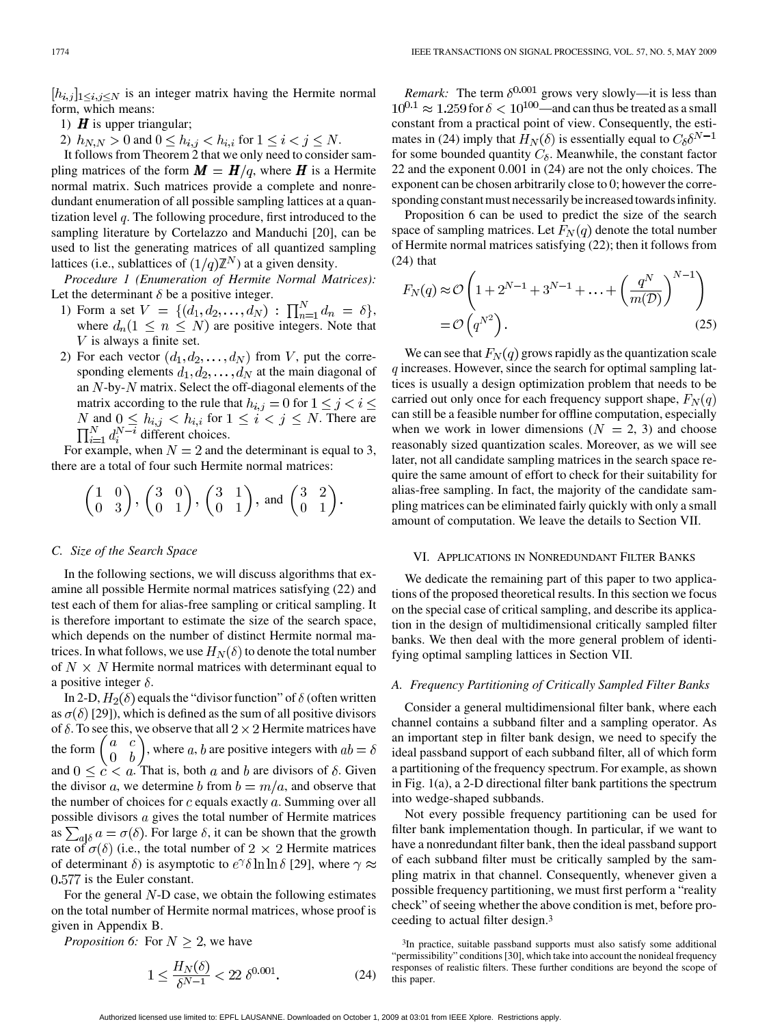$[h_{i,j}]_{1\leq i,j\leq N}$  is an integer matrix having the Hermite normal form, which means:

- 1)  $\boldsymbol{H}$  is upper triangular;
- 2)  $h_{N,N} > 0$  and  $0 \le h_{i,j} < h_{i,i}$  for  $1 \le i < j \le N$ .

It follows from Theorem 2 that we only need to consider sampling matrices of the form  $M = H/q$ , where H is a Hermite normal matrix. Such matrices provide a complete and nonredundant enumeration of all possible sampling lattices at a quantization level  $q$ . The following procedure, first introduced to the sampling literature by Cortelazzo and Manduchi [20], can be used to list the generating matrices of all quantized sampling lattices (i.e., sublattices of  $(1/q)\mathbb{Z}^N$ ) at a given density.

*Procedure 1 (Enumeration of Hermite Normal Matrices):* Let the determinant  $\delta$  be a positive integer.

- 1) Form a set  $V = \{ (d_1, d_2, \ldots, d_N) : \prod_{n=1}^{N} d_n = \delta \},\$ where  $d_n(1 \leq n \leq N)$  are positive integers. Note that  $V$  is always a finite set.
- 2) For each vector  $(d_1, d_2, \ldots, d_N)$  from V, put the corresponding elements  $d_1, d_2, \ldots, d_N$  at the main diagonal of an  $N$ -by- $N$  matrix. Select the off-diagonal elements of the matrix according to the rule that  $h_{i,j} = 0$  for  $1 \leq j < i \leq$ and  $0 \leq h_{i,j} < h_{i,i}$  for  $1 \leq i < j \leq N$ . There are different choices.

For example, when  $N = 2$  and the determinant is equal to 3, there are a total of four such Hermite normal matrices:

$$
\begin{pmatrix} 1 & 0 \ 0 & 3 \end{pmatrix}, \begin{pmatrix} 3 & 0 \ 0 & 1 \end{pmatrix}, \begin{pmatrix} 3 & 1 \ 0 & 1 \end{pmatrix}, \text{ and } \begin{pmatrix} 3 & 2 \ 0 & 1 \end{pmatrix}
$$

## *C. Size of the Search Space*

In the following sections, we will discuss algorithms that examine all possible Hermite normal matrices satisfying (22) and test each of them for alias-free sampling or critical sampling. It is therefore important to estimate the size of the search space, which depends on the number of distinct Hermite normal matrices. In what follows, we use  $H_N(\delta)$  to denote the total number of  $N \times N$  Hermite normal matrices with determinant equal to a positive integer  $\delta$ .

In 2-D,  $H_2(\delta)$  equals the "divisor function" of  $\delta$  (often written as  $\sigma(\delta)$  [29]), which is defined as the sum of all positive divisors of  $\delta$ . To see this, we observe that all  $2 \times 2$  Hermite matrices have the form  $\begin{pmatrix} a & c \\ 0 & b \end{pmatrix}$ , where a, b are positive integers with  $ab = b$ and  $0 \leq c < a$ . That is, both a and b are divisors of  $\delta$ . Given the divisor a, we determine b from  $b = m/a$ , and observe that the number of choices for  $c$  equals exactly  $a$ . Summing over all possible divisors  $a$  gives the total number of Hermite matrices as  $\sum_{a\mid\delta} a = \sigma(\delta)$ . For large  $\delta$ , it can be shown that the growth rate of  $\sigma(\delta)$  (i.e., the total number of  $2 \times 2$  Hermite matrices of determinant  $\delta$ ) is asymptotic to  $e^{\gamma} \delta \ln \ln \delta$  [29], where  $\gamma \approx$  $0.577$  is the Euler constant.

For the general  $N$ -D case, we obtain the following estimates on the total number of Hermite normal matrices, whose proof is given in Appendix B.

*Proposition 6:* For  $N \geq 2$ , we have

$$
1 \le \frac{H_N(\delta)}{\delta^{N-1}} < 22 \, \delta^{0.001}.\tag{24}
$$

*Remark:* The term  $\delta^{0.001}$  grows very slowly—it is less than  $10^{0.1} \approx 1.259$  for  $\delta < 10^{100}$ —and can thus be treated as a small constant from a practical point of view. Consequently, the estimates in (24) imply that  $H_N(\delta)$  is essentially equal to  $C_\delta \delta^{N-1}$ for some bounded quantity  $C_{\delta}$ . Meanwhile, the constant factor 22 and the exponent 0.001 in (24) are not the only choices. The exponent can be chosen arbitrarily close to 0; however the corresponding constant must necessarily be increased towards infinity.

Proposition 6 can be used to predict the size of the search space of sampling matrices. Let  $F_N(q)$  denote the total number of Hermite normal matrices satisfying (22); then it follows from (24) that

$$
F_N(q) \approx \mathcal{O}\left(1 + 2^{N-1} + 3^{N-1} + \dots + \left(\frac{q^N}{m(\mathcal{D})}\right)^{N-1}\right)
$$

$$
= \mathcal{O}\left(q^{N^2}\right).
$$
(25)

We can see that  $F_N(q)$  grows rapidly as the quantization scale  $\tilde{q}$  increases. However, since the search for optimal sampling lattices is usually a design optimization problem that needs to be carried out only once for each frequency support shape,  $F_N(q)$ can still be a feasible number for offline computation, especially when we work in lower dimensions  $(N = 2, 3)$  and choose reasonably sized quantization scales. Moreover, as we will see later, not all candidate sampling matrices in the search space require the same amount of effort to check for their suitability for alias-free sampling. In fact, the majority of the candidate sampling matrices can be eliminated fairly quickly with only a small amount of computation. We leave the details to Section VII.

## VI. APPLICATIONS IN NONREDUNDANT FILTER BANKS

We dedicate the remaining part of this paper to two applications of the proposed theoretical results. In this section we focus on the special case of critical sampling, and describe its application in the design of multidimensional critically sampled filter banks. We then deal with the more general problem of identifying optimal sampling lattices in Section VII.

## *A. Frequency Partitioning of Critically Sampled Filter Banks*

Consider a general multidimensional filter bank, where each channel contains a subband filter and a sampling operator. As an important step in filter bank design, we need to specify the ideal passband support of each subband filter, all of which form a partitioning of the frequency spectrum. For example, as shown in Fig. 1(a), a 2-D directional filter bank partitions the spectrum into wedge-shaped subbands.

Not every possible frequency partitioning can be used for filter bank implementation though. In particular, if we want to have a nonredundant filter bank, then the ideal passband support of each subband filter must be critically sampled by the sampling matrix in that channel. Consequently, whenever given a possible frequency partitioning, we must first perform a "reality check" of seeing whether the above condition is met, before proceeding to actual filter design.3

<sup>3</sup>In practice, suitable passband supports must also satisfy some additional "permissibility" conditions [30], which take into account the nonideal frequency responses of realistic filters. These further conditions are beyond the scope of this paper.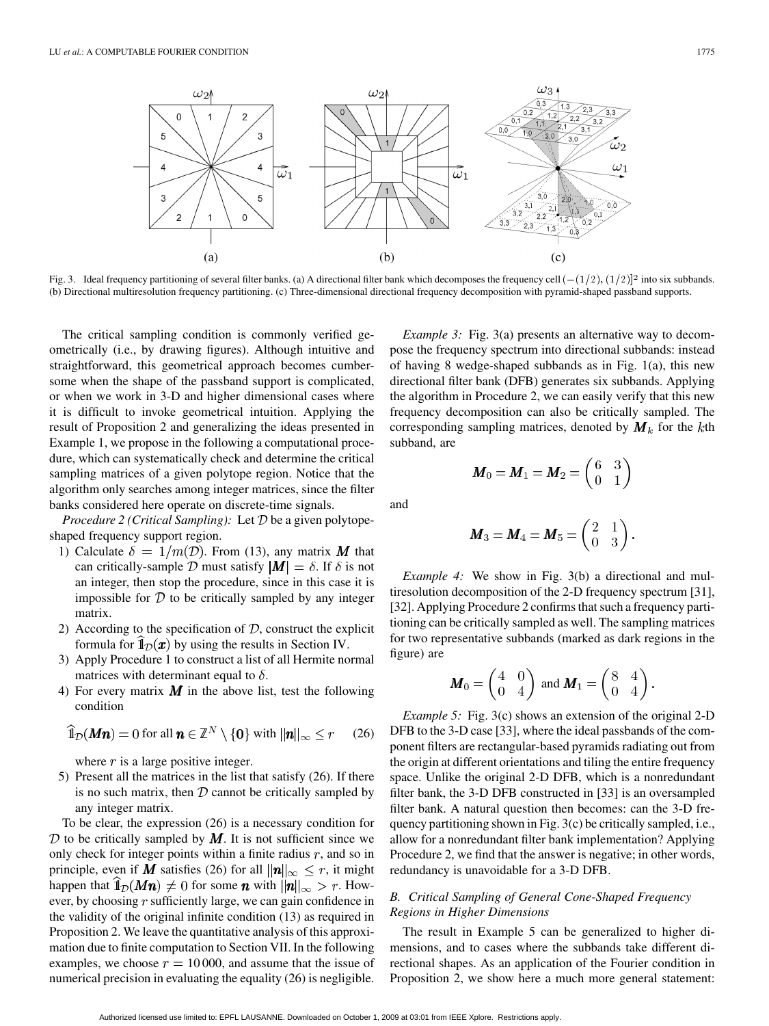

(b) Directional multiresolution frequency partitioning. (c) Three-dimensional directional frequency decomposition with pyramid-shaped passband supports.

The critical sampling condition is commonly verified geometrically (i.e., by drawing figures). Although intuitive and straightforward, this geometrical approach becomes cumbersome when the shape of the passband support is complicated, or when we work in 3-D and higher dimensional cases where it is difficult to invoke geometrical intuition. Applying the result of Proposition 2 and generalizing the ideas presented in Example 1, we propose in the following a computational procedure, which can systematically check and determine the critical sampling matrices of a given polytope region. Notice that the algorithm only searches among integer matrices, since the filter banks considered here operate on discrete-time signals.

*Procedure 2 (Critical Sampling):* Let  $D$  be a given polytopeshaped frequency support region.

- 1) Calculate  $\delta = 1/m(\mathcal{D})$ . From (13), any matrix M that can critically-sample D must satisfy  $|M| = \delta$ . If  $\delta$  is not an integer, then stop the procedure, since in this case it is impossible for  $D$  to be critically sampled by any integer matrix.
- 2) According to the specification of  $D$ , construct the explicit formula for  $\hat{I}_{\mathcal{D}}(x)$  by using the results in Section IV.
- 3) Apply Procedure 1 to construct a list of all Hermite normal matrices with determinant equal to  $\delta$ .
- 4) For every matrix  $\boldsymbol{M}$  in the above list, test the following condition

$$
\widehat{\mathbb{1}}_{\mathcal{D}}(Mn) = 0 \text{ for all } n \in \mathbb{Z}^N \setminus \{0\} \text{ with } ||n||_{\infty} \le r \qquad (26)
$$

where  $r$  is a large positive integer.

5) Present all the matrices in the list that satisfy (26). If there is no such matrix, then  $D$  cannot be critically sampled by any integer matrix.

To be clear, the expression (26) is a necessary condition for  $D$  to be critically sampled by  $M$ . It is not sufficient since we only check for integer points within a finite radius  $r$ , and so in principle, even if M satisfies (26) for all  $\|\mathbf{n}\|_{\infty} \leq r$ , it might happen that  $\hat{I}_{\mathcal{D}}(Mn) \neq 0$  for some *n* with  $||n||_{\infty} > r$ . However, by choosing  $r$  sufficiently large, we can gain confidence in the validity of the original infinite condition (13) as required in Proposition 2. We leave the quantitative analysis of this approximation due to finite computation to Section VII. In the following examples, we choose  $r = 10000$ , and assume that the issue of numerical precision in evaluating the equality (26) is negligible.

*Example 3:* Fig. 3(a) presents an alternative way to decompose the frequency spectrum into directional subbands: instead of having 8 wedge-shaped subbands as in Fig. 1(a), this new directional filter bank (DFB) generates six subbands. Applying the algorithm in Procedure 2, we can easily verify that this new frequency decomposition can also be critically sampled. The corresponding sampling matrices, denoted by  $M_k$  for the kth subband, are

and

$$
\boldsymbol{M}_3 = \boldsymbol{M}_4 = \boldsymbol{M}_5 = \begin{pmatrix} 2 & 1 \\ 0 & 3 \end{pmatrix}
$$

 $\boldsymbol{M}_0 = \boldsymbol{M}_1 = \boldsymbol{M}_2 = \left( \begin{matrix} 6 & 3 \ 0 & 1 \end{matrix} \right)$ 

*Example 4:* We show in Fig. 3(b) a directional and multiresolution decomposition of the 2-D frequency spectrum [31], [32]. Applying Procedure 2 confirms that such a frequency partitioning can be critically sampled as well. The sampling matrices for two representative subbands (marked as dark regions in the figure) are

$$
\boldsymbol{M}_0 = \begin{pmatrix} 4 & 0 \\ 0 & 4 \end{pmatrix} \text{ and } \boldsymbol{M}_1 = \begin{pmatrix} 8 & 4 \\ 0 & 4 \end{pmatrix}.
$$

*Example 5:* Fig. 3(c) shows an extension of the original 2-D DFB to the 3-D case [33], where the ideal passbands of the component filters are rectangular-based pyramids radiating out from the origin at different orientations and tiling the entire frequency space. Unlike the original 2-D DFB, which is a nonredundant filter bank, the 3-D DFB constructed in [33] is an oversampled filter bank. A natural question then becomes: can the 3-D frequency partitioning shown in Fig. 3(c) be critically sampled, i.e., allow for a nonredundant filter bank implementation? Applying Procedure 2, we find that the answer is negative; in other words, redundancy is unavoidable for a 3-D DFB.

# *B. Critical Sampling of General Cone-Shaped Frequency Regions in Higher Dimensions*

The result in Example 5 can be generalized to higher dimensions, and to cases where the subbands take different directional shapes. As an application of the Fourier condition in Proposition 2, we show here a much more general statement: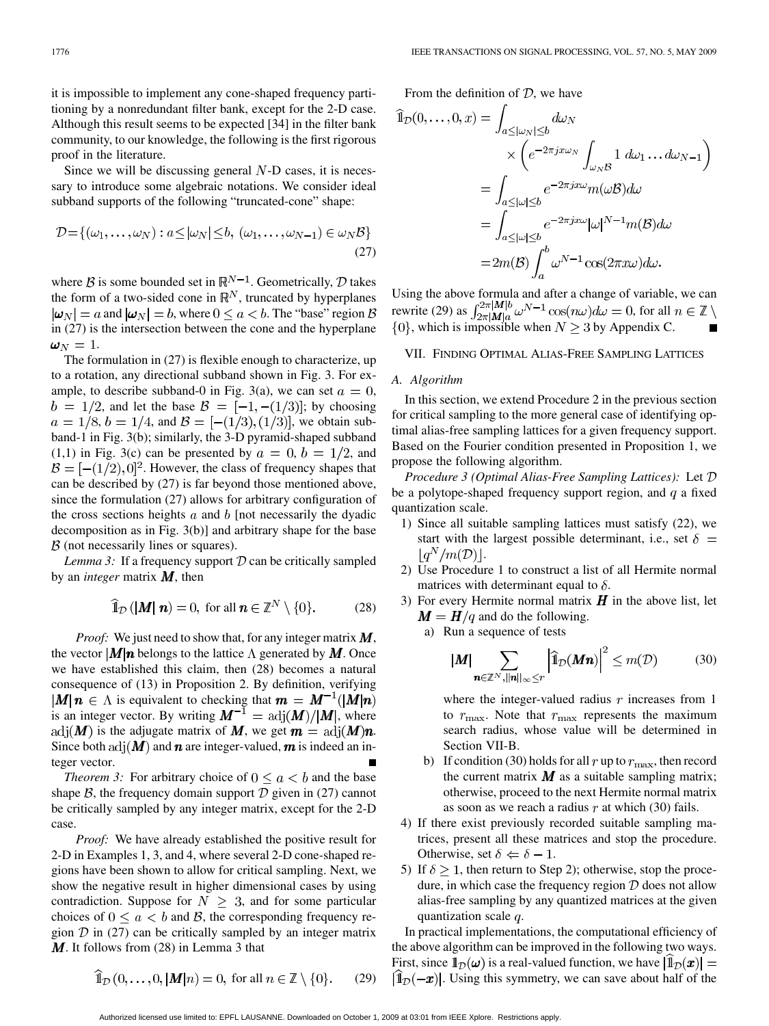it is impossible to implement any cone-shaped frequency partitioning by a nonredundant filter bank, except for the 2-D case. Although this result seems to be expected [34] in the filter bank community, to our knowledge, the following is the first rigorous proof in the literature.

Since we will be discussing general  $N$ -D cases, it is necessary to introduce some algebraic notations. We consider ideal subband supports of the following "truncated-cone" shape:

$$
\mathcal{D} = \{(\omega_1, \dots, \omega_N) : a \le |\omega_N| \le b, (\omega_1, \dots, \omega_{N-1}) \in \omega_N \mathcal{B}\}\
$$
\n(27)

where  $\beta$  is some bounded set in  $\mathbb{R}^{N-1}$ . Geometrically,  $\mathcal{D}$  takes the form of a two-sided cone in  $\mathbb{R}^N$ , truncated by hyperplanes  $|\boldsymbol{\omega}_N| = a$  and  $|\boldsymbol{\omega}_N| = b$ , where  $0 \le a < b$ . The "base" region  $\beta$ in (27) is the intersection between the cone and the hyperplane  $\omega_N=1.$ 

The formulation in (27) is flexible enough to characterize, up to a rotation, any directional subband shown in Fig. 3. For example, to describe subband-0 in Fig. 3(a), we can set  $a = 0$ ,  $b = 1/2$ , and let the base  $\mathcal{B} = [-1, -(1/3)]$ ; by choosing  $a = 1/8$ ,  $b = 1/4$ , and  $\mathcal{B} = [-(1/3), (1/3)]$ , we obtain subband-1 in Fig. 3(b); similarly, the 3-D pyramid-shaped subband  $(1,1)$  in Fig. 3(c) can be presented by  $a = 0, b = 1/2$ , and  $\mathcal{B} = \left[-(1/2), 0\right]^2$ . However, the class of frequency shapes that can be described by (27) is far beyond those mentioned above, since the formulation (27) allows for arbitrary configuration of the cross sections heights  $a$  and  $b$  [not necessarily the dyadic decomposition as in Fig. 3(b)] and arbitrary shape for the base  $\beta$  (not necessarily lines or squares).

*Lemma 3:* If a frequency support  $D$  can be critically sampled by an *integer* matrix  $M$ , then

$$
\widehat{\mathbb{1}}_{\mathcal{D}}\left(\left|\mathbf{M}\right| \mathbf{n}\right) = 0, \text{ for all } \mathbf{n} \in \mathbb{Z}^N \setminus \{0\}. \tag{28}
$$

*Proof:* We just need to show that, for any integer matrix  $\mathbf{M}$ , the vector  $\vert M\vert n$  belongs to the lattice  $\Lambda$  generated by M. Once we have established this claim, then (28) becomes a natural consequence of (13) in Proposition 2. By definition, verifying  $|M|n \in \Lambda$  is equivalent to checking that  $m = M^{-1}(|M|n)$ is an integer vector. By writing  $M^{-1} = \text{adj}(M)/|M|$ , where adj $(M)$  is the adjugate matrix of M, we get  $m = \text{adj}(M)n$ . Since both adj $(M)$  and  $n$  are integer-valued,  $m$  is indeed an integer vector.

*Theorem 3:* For arbitrary choice of  $0 \le a \le b$  and the base shape  $\beta$ , the frequency domain support  $\mathcal D$  given in (27) cannot be critically sampled by any integer matrix, except for the 2-D case.

*Proof:* We have already established the positive result for 2-D in Examples 1, 3, and 4, where several 2-D cone-shaped regions have been shown to allow for critical sampling. Next, we show the negative result in higher dimensional cases by using contradiction. Suppose for  $N \geq 3$ , and for some particular choices of  $0 \le a < b$  and  $\beta$ , the corresponding frequency region  $\mathcal D$  in (27) can be critically sampled by an integer matrix  $M$ . It follows from (28) in Lemma 3 that

From the definition of  $D$ , we have

$$
\begin{split}\n\widehat{\mathbb{1}}_{\mathcal{D}}(0,\ldots,0,x) &= \int_{a \leq |\omega_N| \leq b} d\omega_N \\
&\times \left( e^{-2\pi j x \omega_N} \int_{\omega_N \mathcal{B}} 1 \, d\omega_1 \ldots d\omega_{N-1} \right) \\
&= \int_{a \leq |\omega| \leq b} e^{-2\pi j x \omega} m(\omega \mathcal{B}) d\omega \\
&= \int_{a \leq |\omega| \leq b} e^{-2\pi j x \omega} |\omega|^{N-1} m(\mathcal{B}) d\omega \\
&= 2m(\mathcal{B}) \int_a^b \omega^{N-1} \cos(2\pi x \omega) d\omega.\n\end{split}
$$

Using the above formula and after a change of variable, we can rewrite (29) as  $\int_{2\pi |M|_q}^{2\pi |M|_q} \omega^{N-1} \cos(n\omega) d\omega = 0$ , for all , which is impossible when  $N \geq 3$  by Appendix C.

# VII. FINDING OPTIMAL ALIAS-FREE SAMPLING LATTICES

#### *A. Algorithm*

In this section, we extend Procedure 2 in the previous section for critical sampling to the more general case of identifying optimal alias-free sampling lattices for a given frequency support. Based on the Fourier condition presented in Proposition 1, we propose the following algorithm.

*Procedure 3 (Optimal Alias-Free Sampling Lattices):* Let be a polytope-shaped frequency support region, and  $q$  a fixed quantization scale.

- 1) Since all suitable sampling lattices must satisfy (22), we start with the largest possible determinant, i.e., set  $\delta =$  $\lfloor q^N/m(\mathcal{D}) \rfloor$ .
- 2) Use Procedure 1 to construct a list of all Hermite normal matrices with determinant equal to  $\delta$ .
- 3) For every Hermite normal matrix  $H$  in the above list, let  $M = H/q$  and do the following.
	- a) Run a sequence of tests

$$
\boldsymbol{M}|\sum_{\boldsymbol{n}\in\mathbb{Z}^N,\|\boldsymbol{n}\|_{\infty}\leq r}\left|\widehat{\mathbb{1}}_{\mathcal{D}}(\boldsymbol{M}\boldsymbol{n})\right|^2\leq m(\mathcal{D})\tag{30}
$$

where the integer-valued radius  $r$  increases from 1 to  $r_{\text{max}}$ . Note that  $r_{\text{max}}$  represents the maximum search radius, whose value will be determined in Section VII-B.

- b) If condition (30) holds for all r up to  $r_{\text{max}}$ , then record the current matrix  $M$  as a suitable sampling matrix; otherwise, proceed to the next Hermite normal matrix as soon as we reach a radius  $r$  at which (30) fails.
- 4) If there exist previously recorded suitable sampling matrices, present all these matrices and stop the procedure. Otherwise, set  $\delta \Leftarrow \delta - 1$ .
- 5) If  $\delta \geq 1$ , then return to Step 2); otherwise, stop the procedure, in which case the frequency region  $D$  does not allow alias-free sampling by any quantized matrices at the given quantization scale  $q$ .

In practical implementations, the computational efficiency of the above algorithm can be improved in the following two ways. First, since  $\mathbb{1}_{\mathcal{D}}(\omega)$  is a real-valued function, we have  $|\mathbb{1}_{\mathcal{D}}(x)| =$  $\hat{\mathbb{I}}_{\mathcal{D}}(-x)$ . Using this symmetry, we can save about half of the

$$
\mathbb{1}_{\mathcal{D}}(0,\ldots,0,|\mathbf{M}|n) = 0, \text{ for all } n \in \mathbb{Z} \setminus \{0\}. \tag{29}
$$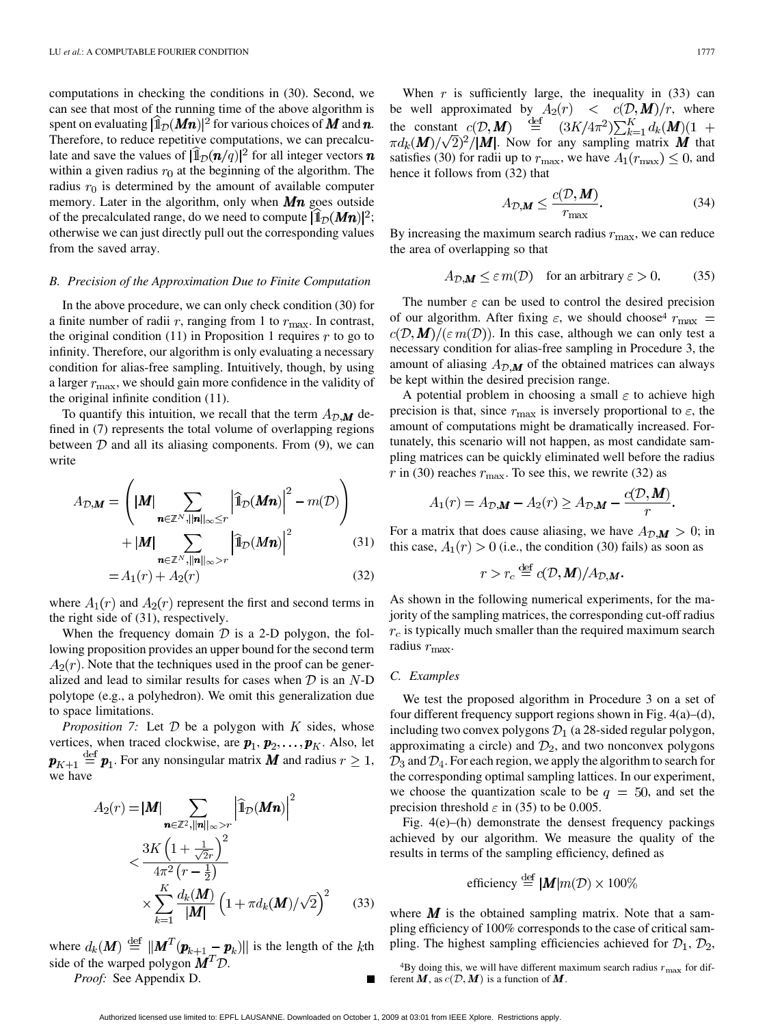computations in checking the conditions in (30). Second, we can see that most of the running time of the above algorithm is spent on evaluating  $[\mathbb{1}_{\mathcal{D}}(Mn)]^2$  for various choices of M and n. Therefore, to reduce repetitive computations, we can precalculate and save the values of  $[\mathbb{I}_{\mathcal{D}}(\boldsymbol{n}/q)]^2$  for all integer vectors  $\boldsymbol{n}$ within a given radius  $r_0$  at the beginning of the algorithm. The radius  $r_0$  is determined by the amount of available computer memory. Later in the algorithm, only when  $Mn$  goes outside of the precalculated range, do we need to compute  $|\mathbb{1}_D(Mn)|^2$ ; otherwise we can just directly pull out the corresponding values from the saved array.

#### *B. Precision of the Approximation Due to Finite Computation*

In the above procedure, we can only check condition (30) for a finite number of radii  $r$ , ranging from 1 to  $r_{\text{max}}$ . In contrast, the original condition  $(11)$  in Proposition 1 requires r to go to infinity. Therefore, our algorithm is only evaluating a necessary condition for alias-free sampling. Intuitively, though, by using a larger  $r_{\rm max}$ , we should gain more confidence in the validity of the original infinite condition (11).

To quantify this intuition, we recall that the term  $A_{\mathcal{D},\mathbf{M}}$  defined in (7) represents the total volume of overlapping regions between  $D$  and all its aliasing components. From (9), we can write

$$
A_{\mathcal{D},\mathbf{M}} = \left( |\mathbf{M}| \sum_{\mathbf{n} \in \mathbb{Z}^N, ||\mathbf{n}||_{\infty} \le r} \left| \hat{\mathbb{I}}_{\mathcal{D}}(\mathbf{M}\mathbf{n}) \right|^2 - m(\mathcal{D}) \right) + |\mathbf{M}| \sum_{\mathbf{n} \in \mathbb{Z}^N, ||\mathbf{n}||_{\infty} > r} \left| \hat{\mathbb{I}}_{\mathcal{D}}(\mathbf{M}\mathbf{n}) \right|^2 \tag{31}
$$

$$
= A_1(r) + A_2(r) \tag{32}
$$

where  $A_1(r)$  and  $A_2(r)$  represent the first and second terms in the right side of (31), respectively.

When the frequency domain  $D$  is a 2-D polygon, the following proposition provides an upper bound for the second term  $A_2(r)$ . Note that the techniques used in the proof can be generalized and lead to similar results for cases when  $D$  is an  $N$ -D polytope (e.g., a polyhedron). We omit this generalization due to space limitations.

*Proposition 7:* Let  $D$  be a polygon with  $K$  sides, whose vertices, when traced clockwise, are  $p_1, p_2, \ldots, p_K$ . Also, let  $\boldsymbol{p}_{K+1} \stackrel{\text{def}}{=} \boldsymbol{p}_1$ . For any nonsingular matrix **M** and radius  $r \geq 1$ , we have

$$
A_2(r) = |\mathbf{M}| \sum_{\mathbf{n} \in \mathbb{Z}^2, ||\mathbf{n}||_{\infty} > r} \left| \hat{\mathbf{l}}_{\mathcal{D}}(\mathbf{M}\mathbf{n}) \right|^2
$$
  

$$
< \frac{3K\left(1 + \frac{1}{\sqrt{2r}}\right)^2}{4\pi^2 \left(r - \frac{1}{2}\right)}
$$
  

$$
\times \sum_{k=1}^K \frac{d_k(\mathbf{M})}{|\mathbf{M}|} \left(1 + \pi d_k(\mathbf{M})/\sqrt{2}\right)^2 \tag{33}
$$

where  $d_k(M) \stackrel{\text{def}}{=} ||M^T(\boldsymbol{p}_{k+1} - \boldsymbol{p}_k)||$  is the length of the kth side of the warped polygon  $M^T \mathcal{D}$ .

*Proof:* See Appendix D.

When  $r$  is sufficiently large, the inequality in (33) can be well approximated by  $A_2(r) < c(\mathcal{D}, M)/r$ , where the constant  $\pi d_k(M)/\sqrt{2}$ <sup>2</sup>/|M|. Now for any sampling matrix M that satisfies (30) for radii up to  $r_{\text{max}}$ , we have  $A_1(r_{\text{max}}) \leq 0$ , and hence it follows from (32) that

$$
A_{\mathcal{D},\mathcal{M}} \le \frac{c(\mathcal{D},\mathcal{M})}{r_{\text{max}}}.
$$
\n(34)

By increasing the maximum search radius  $r_{\text{max}}$ , we can reduce the area of overlapping so that

$$
A_{\mathcal{D},\mathbf{M}} \leq \varepsilon m(\mathcal{D}) \quad \text{for an arbitrary } \varepsilon > 0. \tag{35}
$$

The number  $\varepsilon$  can be used to control the desired precision of our algorithm. After fixing  $\varepsilon$ , we should choose<sup>4</sup>  $r_{\text{max}} =$  $c(\mathcal{D}, \mathbf{M})/(\varepsilon m(\mathcal{D}))$ . In this case, although we can only test a necessary condition for alias-free sampling in Procedure 3, the amount of aliasing  $A_{\mathcal{D},\mathbf{M}}$  of the obtained matrices can always be kept within the desired precision range.

A potential problem in choosing a small  $\varepsilon$  to achieve high precision is that, since  $r_{\text{max}}$  is inversely proportional to  $\varepsilon$ , the amount of computations might be dramatically increased. Fortunately, this scenario will not happen, as most candidate sampling matrices can be quickly eliminated well before the radius r in (30) reaches  $r_{\text{max}}$ . To see this, we rewrite (32) as

$$
A_1(r) = A_{\mathcal{D},\mathbf{M}} - A_2(r) \ge A_{\mathcal{D},\mathbf{M}} - \frac{c(\mathcal{D},\mathbf{M})}{r}.
$$

For a matrix that does cause aliasing, we have  $A_{\mathcal{D},\mathbf{M}} > 0$ ; in this case,  $A_1(r) > 0$  (i.e., the condition (30) fails) as soon as

$$
r > r_c \stackrel{\text{def}}{=} c(\mathcal{D}, \mathbf{M})/A_{\mathcal{D},\mathbf{M}}.
$$

As shown in the following numerical experiments, for the majority of the sampling matrices, the corresponding cut-off radius  $r_c$  is typically much smaller than the required maximum search radius  $r_{\text{max}}$ .

## *C. Examples*

We test the proposed algorithm in Procedure 3 on a set of four different frequency support regions shown in Fig. 4(a)–(d), including two convex polygons  $\mathcal{D}_1$  (a 28-sided regular polygon, approximating a circle) and  $\mathcal{D}_2$ , and two nonconvex polygons  $\mathcal{D}_3$  and  $\mathcal{D}_4$ . For each region, we apply the algorithm to search for the corresponding optimal sampling lattices. In our experiment, we choose the quantization scale to be  $q = 50$ , and set the precision threshold  $\varepsilon$  in (35) to be 0.005.

Fig. 4(e)–(h) demonstrate the densest frequency packings achieved by our algorithm. We measure the quality of the results in terms of the sampling efficiency, defined as

efficiency 
$$
\stackrel{\text{def}}{=} |M|m(\mathcal{D}) \times 100\%
$$

where  $\boldsymbol{M}$  is the obtained sampling matrix. Note that a sampling efficiency of 100% corresponds to the case of critical sampling. The highest sampling efficiencies achieved for  $\mathcal{D}_1$ ,  $\mathcal{D}_2$ ,

 $4By$  doing this, we will have different maximum search radius  $r_{\text{max}}$  for different M, as  $c(D, M)$  is a function of M.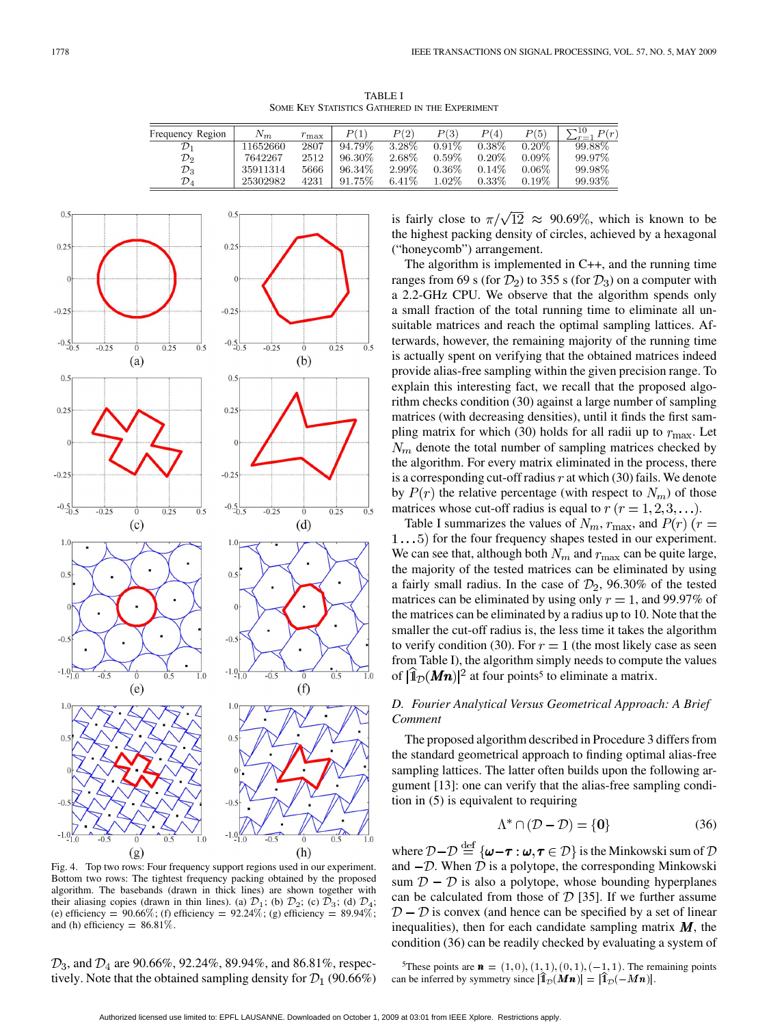TABLE I SOME KEY STATISTICS GATHERED IN THE EXPERIMENT

| Frequency Region | $N_m$    | $r_{\rm max}$ | P(1)      | P(2)     | P(3)     | P(4)     | P(5)     | $-10$<br>P(r) |
|------------------|----------|---------------|-----------|----------|----------|----------|----------|---------------|
| $\mathcal{D}_1$  | 11652660 | 2807          | $94.79\%$ | $3.28\%$ | $0.91\%$ | $0.38\%$ | $0.20\%$ | $99.88\%$     |
| $\mathcal{D}_2$  | 7642267  | 2512          | 96.30\%   | 2.68%    | $0.59\%$ | 0.20%    | $0.09\%$ | 99.97%        |
| ${\cal D}_3$     | 35911314 | 5666          | 96.34%    | 2.99%    | $0.36\%$ | 0.14%    | $0.06\%$ | 99.98%        |
| ${\cal D}_4$     | 25302982 | 4231          | 91.75%    | 6.41%    | $1.02\%$ | $0.33\%$ | 0.19%    | 99.93%        |



Fig. 4. Top two rows: Four frequency support regions used in our experiment. Bottom two rows: The tightest frequency packing obtained by the proposed algorithm. The basebands (drawn in thick lines) are shown together with their aliasing copies (drawn in thin lines). (a)  $\mathcal{D}_1$ ; (b)  $\mathcal{D}_2$ ; (c)  $\mathcal{D}_3$ ; (d)  $\mathcal{D}_4$ ; (e) efficiency =  $90.66\%$ ; (f) efficiency =  $92.24\%$ ; (g) efficiency =  $89.94\%$ ; and (h) efficiency  $= 86.81\%$ .

 $\mathcal{D}_3$ , and  $\mathcal{D}_4$  are 90.66%, 92.24%, 89.94%, and 86.81%, respectively. Note that the obtained sampling density for  $\mathcal{D}_1$  (90.66%) is fairly close to  $\pi/\sqrt{12} \approx 90.69\%$ , which is known to be the highest packing density of circles, achieved by a hexagonal ("honeycomb") arrangement.

The algorithm is implemented in C++, and the running time ranges from 69 s (for  $\mathcal{D}_2$ ) to 355 s (for  $\mathcal{D}_3$ ) on a computer with a 2.2-GHz CPU. We observe that the algorithm spends only a small fraction of the total running time to eliminate all unsuitable matrices and reach the optimal sampling lattices. Afterwards, however, the remaining majority of the running time is actually spent on verifying that the obtained matrices indeed provide alias-free sampling within the given precision range. To explain this interesting fact, we recall that the proposed algorithm checks condition (30) against a large number of sampling matrices (with decreasing densities), until it finds the first sampling matrix for which (30) holds for all radii up to  $r_{\text{max}}$ . Let  $N_m$  denote the total number of sampling matrices checked by the algorithm. For every matrix eliminated in the process, there is a corresponding cut-off radius  $r$  at which (30) fails. We denote by  $P(r)$  the relative percentage (with respect to  $N_m$ ) of those matrices whose cut-off radius is equal to  $r (r = 1, 2, 3, \ldots)$ .

Table I summarizes the values of  $N_m$ ,  $r_{\text{max}}$ , and  $P(r)$  ( $r =$  $1...5$ ) for the four frequency shapes tested in our experiment. We can see that, although both  $N_m$  and  $r_{\text{max}}$  can be quite large, the majority of the tested matrices can be eliminated by using a fairly small radius. In the case of  $\mathcal{D}_2$ , 96.30% of the tested matrices can be eliminated by using only  $r = 1$ , and 99.97% of the matrices can be eliminated by a radius up to 10. Note that the smaller the cut-off radius is, the less time it takes the algorithm to verify condition (30). For  $r = 1$  (the most likely case as seen from Table I), the algorithm simply needs to compute the values of  $[\hat{\mathbb{1}}_{\mathcal{D}}(Mn)]^2$  at four points<sup>5</sup> to eliminate a matrix.

# *D. Fourier Analytical Versus Geometrical Approach: A Brief Comment*

The proposed algorithm described in Procedure 3 differs from the standard geometrical approach to finding optimal alias-free sampling lattices. The latter often builds upon the following argument [13]: one can verify that the alias-free sampling condition in (5) is equivalent to requiring

$$
\Lambda^* \cap (\mathcal{D} - \mathcal{D}) = \{0\} \tag{36}
$$

where  $\mathcal{D} - \mathcal{D} \stackrel{\text{def}}{=} {\{\boldsymbol{\omega} - \boldsymbol{\tau} : \boldsymbol{\omega}, \boldsymbol{\tau} \in \mathcal{D}\}}$  is the Minkowski sum of  $\mathcal D$ and  $-D$ . When  $\overline{D}$  is a polytope, the corresponding Minkowski sum  $\mathcal{D} - \mathcal{D}$  is also a polytope, whose bounding hyperplanes can be calculated from those of  $D$  [35]. If we further assume  $D - D$  is convex (and hence can be specified by a set of linear inequalities), then for each candidate sampling matrix  $M$ , the condition (36) can be readily checked by evaluating a system of

<sup>5</sup>These points are  $\mathbf{n} = (1, 0), (1, 1), (0, 1), (-1, 1)$ . The remaining points can be inferred by symmetry since  $|\mathbf{1}_{\mathcal{D}}(M\mathbf{n})| = |\mathbf{1}_{\mathcal{D}}(-M\mathbf{n})|$ .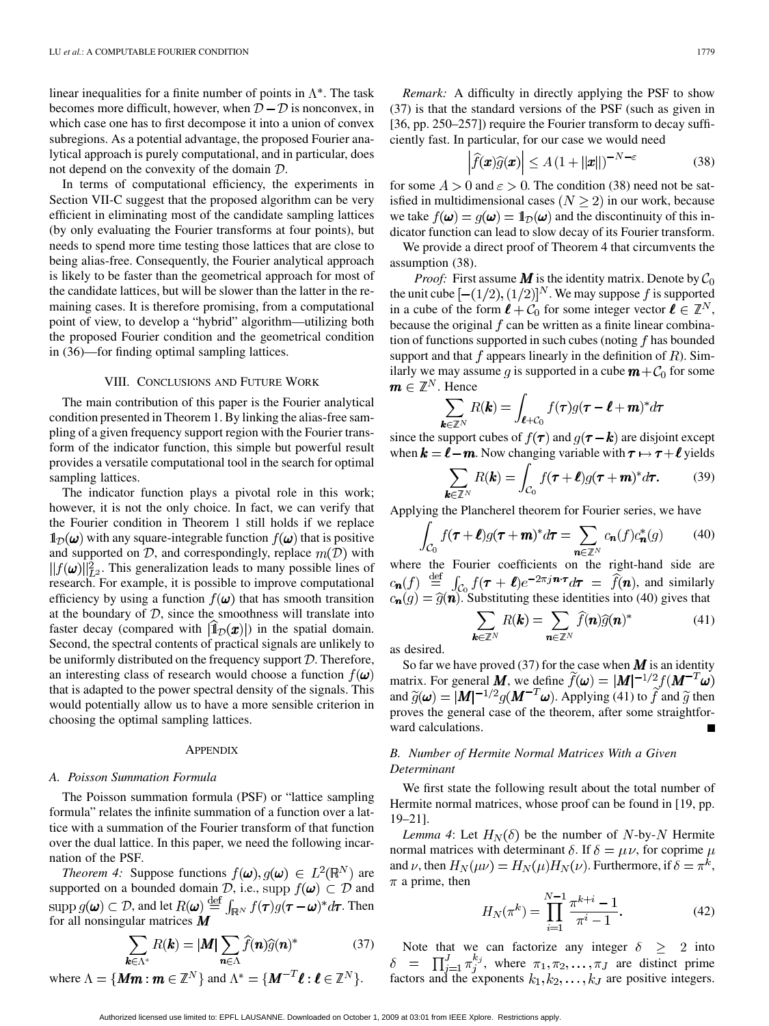linear inequalities for a finite number of points in  $\Lambda^*$ . The task becomes more difficult, however, when  $D - D$  is nonconvex, in which case one has to first decompose it into a union of convex subregions. As a potential advantage, the proposed Fourier analytical approach is purely computational, and in particular, does not depend on the convexity of the domain  $\mathcal{D}$ .

In terms of computational efficiency, the experiments in Section VII-C suggest that the proposed algorithm can be very efficient in eliminating most of the candidate sampling lattices (by only evaluating the Fourier transforms at four points), but needs to spend more time testing those lattices that are close to being alias-free. Consequently, the Fourier analytical approach is likely to be faster than the geometrical approach for most of the candidate lattices, but will be slower than the latter in the remaining cases. It is therefore promising, from a computational point of view, to develop a "hybrid" algorithm—utilizing both the proposed Fourier condition and the geometrical condition in (36)—for finding optimal sampling lattices.

## VIII. CONCLUSIONS AND FUTURE WORK

The main contribution of this paper is the Fourier analytical condition presented in Theorem 1. By linking the alias-free sampling of a given frequency support region with the Fourier transform of the indicator function, this simple but powerful result provides a versatile computational tool in the search for optimal sampling lattices.

The indicator function plays a pivotal role in this work; however, it is not the only choice. In fact, we can verify that the Fourier condition in Theorem 1 still holds if we replace  $\mathbb{1}_{\mathcal{D}}(\boldsymbol{\omega})$  with any square-integrable function  $f(\boldsymbol{\omega})$  that is positive and supported on  $D$ , and correspondingly, replace  $m(D)$  with  $||f(\boldsymbol{\omega})||_{L^2}^2$ . This generalization leads to many possible lines of research. For example, it is possible to improve computational efficiency by using a function  $f(\omega)$  that has smooth transition at the boundary of  $D$ , since the smoothness will translate into faster decay (compared with  $|1_{\mathcal{D}}(x)|$ ) in the spatial domain. Second, the spectral contents of practical signals are unlikely to be uniformly distributed on the frequency support  $D$ . Therefore, an interesting class of research would choose a function  $f(\boldsymbol{\omega})$ that is adapted to the power spectral density of the signals. This would potentially allow us to have a more sensible criterion in choosing the optimal sampling lattices.

#### **APPENDIX**

## *A. Poisson Summation Formula*

The Poisson summation formula (PSF) or "lattice sampling formula" relates the infinite summation of a function over a lattice with a summation of the Fourier transform of that function over the dual lattice. In this paper, we need the following incarnation of the PSF.

*Theorem 4:* Suppose functions  $f(\boldsymbol{\omega}), g(\boldsymbol{\omega}) \in L^2(\mathbb{R}^N)$  are supported on a bounded domain  $\mathcal{D}$ , i.e., supp  $f(\boldsymbol{\omega}) \subset \mathcal{D}$  and , and let  $R(\boldsymbol{\omega}) \stackrel{\text{def}}{=} \int_{\mathbb{R}^N} f(\boldsymbol{\tau}) g(\boldsymbol{\tau} - \boldsymbol{\omega})^* d \boldsymbol{\tau}$ . Then for all nonsingular matrices

$$
\sum_{\in \Lambda^*} R(\mathbf{k}) = |\mathbf{M}| \sum_{\mathbf{n} \in \Lambda} \widehat{f}(\mathbf{n}) \widehat{g}(\mathbf{n})^* \tag{37}
$$

where  $\Lambda = \{ \textbf{Mm} : \textbf{m} \in \mathbb{Z}^N \}$  and  $\Lambda^* = \{ \textbf{M}^{-T} \textbf{\ell} : \textbf{\ell} \in \mathbb{Z}^N \}$ .

*Remark:* A difficulty in directly applying the PSF to show (37) is that the standard versions of the PSF (such as given in [36, pp. 250–257]) require the Fourier transform to decay sufficiently fast. In particular, for our case we would need

$$
\left|\widehat{f}(\boldsymbol{x})\widehat{g}(\boldsymbol{x})\right| \le A\left(1 + ||\boldsymbol{x}||\right)^{-N-\varepsilon} \tag{38}
$$

for some  $A > 0$  and  $\varepsilon > 0$ . The condition (38) need not be satisfied in multidimensional cases  $(N \ge 2)$  in our work, because we take  $f(\boldsymbol{\omega}) = g(\boldsymbol{\omega}) = \mathbb{1}_{\mathcal{D}}(\boldsymbol{\omega})$  and the discontinuity of this indicator function can lead to slow decay of its Fourier transform.

We provide a direct proof of Theorem 4 that circumvents the assumption (38).

*Proof:* First assume  $\vec{M}$  is the identity matrix. Denote by  $\mathcal{C}_0$ the unit cube  $[-(1/2),(1/2)]^N$ . We may suppose f is supported in a cube of the form  $\ell + C_0$  for some integer vector  $\ell \in \mathbb{Z}^N$ , because the original  $f$  can be written as a finite linear combination of functions supported in such cubes (noting  $f$  has bounded support and that  $f$  appears linearly in the definition of  $R$ ). Similarly we may assume q is supported in a cube  $m + C_0$  for some  $\mathbf{m} \in \mathbb{Z}^N$ . Hence

$$
\sum_{\mathbf{k}\in\mathbb{Z}^N} R(\mathbf{k}) = \int_{\boldsymbol{\ell}+\mathcal{C}_0} f(\boldsymbol{\tau}) g(\boldsymbol{\tau}-\boldsymbol{\ell}+\boldsymbol{m})^* d\boldsymbol{\tau}
$$

since the support cubes of  $f(\tau)$  and  $g(\tau - \mathbf{k})$  are disjoint except when  $k = \ell - m$ . Now changing variable with  $\tau \mapsto \tau + \ell$  yields

$$
\sum_{\mathbf{k}\in\mathbb{Z}^N} R(\mathbf{k}) = \int_{\mathcal{C}_0} f(\boldsymbol{\tau} + \boldsymbol{\ell}) g(\boldsymbol{\tau} + \boldsymbol{m})^* d\boldsymbol{\tau}.
$$
 (39)

Applying the Plancherel theorem for Fourier series, we have

$$
\int_{\mathcal{C}_0} f(\boldsymbol{\tau} + \boldsymbol{\ell}) g(\boldsymbol{\tau} + \boldsymbol{m})^* d\boldsymbol{\tau} = \sum_{\boldsymbol{n} \in \mathbb{Z}^N} c_{\boldsymbol{n}}(f) c_{\boldsymbol{n}}^*(g) \qquad (40)
$$

where the Fourier coefficients on the right-hand side are , and similarly . Substituting these identities into (40) gives that

$$
\sum_{\mathbf{k}\in\mathbb{Z}^N} R(\mathbf{k}) = \sum_{\mathbf{n}\in\mathbb{Z}^N} \widehat{f}(\mathbf{n}) \widehat{g}(\mathbf{n})^*
$$
(41)

as desired.

So far we have proved (37) for the case when  $\boldsymbol{M}$  is an identity matrix. For general M, we define  $f(\boldsymbol{\omega}) = |\boldsymbol{M}|^{-1/2} f(\boldsymbol{M}^{-T}\boldsymbol{\omega})$ and  $\widetilde{g}(\omega) = |M|^{-1/2} g(M^{-T}\omega)$ . Applying (41) to  $\widetilde{f}$  and  $\widetilde{g}$  then proves the general case of the theorem, after some straightforward calculations.

# *B. Number of Hermite Normal Matrices With a Given Determinant*

We first state the following result about the total number of Hermite normal matrices, whose proof can be found in [19, pp. 19–21].

*Lemma 4*: Let  $H_N(\delta)$  be the number of N-by-N Hermite normal matrices with determinant  $\delta$ . If  $\delta = \mu \nu$ , for coprime  $\mu$ and  $\nu$ , then  $H_N(\mu\nu) = H_N(\mu)H_N(\nu)$ . Furthermore, if  $\delta = \pi^k$ ,  $\pi$  a prime, then

$$
H_N(\pi^k) = \prod_{i=1}^{N-1} \frac{\pi^{k+i} - 1}{\pi^i - 1}.
$$
 (42)

Note that we can factorize any integer  $\delta \geq 2$  into , where  $\pi_1, \pi_2, \ldots, \pi_J$  are distinct prime factors and the exponents  $k_1, k_2, \ldots, k_J$  are positive integers.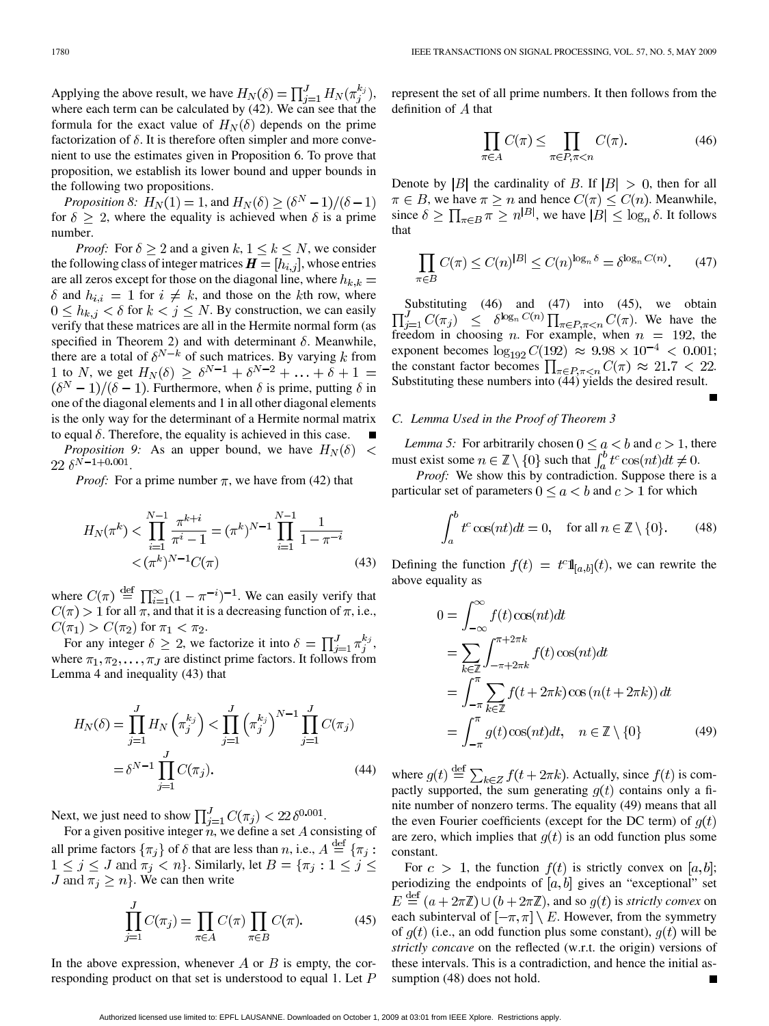Applying the above result, we have  $H_N(\delta) = \prod_{i=1}^J H_N(\pi_j^{k_i})$ , where each term can be calculated by (42). We can see that the formula for the exact value of  $H_N(\delta)$  depends on the prime factorization of  $\delta$ . It is therefore often simpler and more convenient to use the estimates given in Proposition 6. To prove that proposition, we establish its lower bound and upper bounds in the following two propositions.

*Proposition 8:*  $H_N(1) = 1$ , and  $H_N(\delta) \geq (\delta^N - 1)/(\delta - 1)$ for  $\delta \geq 2$ , where the equality is achieved when  $\delta$  is a prime number.

*Proof:* For  $\delta \geq 2$  and a given  $k, 1 \leq k \leq N$ , we consider the following class of integer matrices  $\boldsymbol{H} = [h_{i,j}]$ , whose entries are all zeros except for those on the diagonal line, where  $h_{k,k} =$  $\delta$  and  $h_{i,i} = 1$  for  $i \neq k$ , and those on the kth row, where  $0 \leq h_{k,j} < \delta$  for  $k < j \leq N$ . By construction, we can easily verify that these matrices are all in the Hermite normal form (as specified in Theorem 2) and with determinant  $\delta$ . Meanwhile, there are a total of  $\delta^{N-k}$  of such matrices. By varying k from to  $N$ , we get  $(\delta^N-1)/(\delta-1)$ . Furthermore, when  $\delta$  is prime, putting  $\delta$  in one of the diagonal elements and 1 in all other diagonal elements is the only way for the determinant of a Hermite normal matrix to equal  $\delta$ . Therefore, the equality is achieved in this case. *Proposition 9:* As an upper bound, we have  $H_N(\delta)$  $\,<$ 

 $22 \delta^{N-1+0.001}$ .

*Proof:* For a prime number  $\pi$ , we have from (42) that

$$
H_N(\pi^k) < \prod_{i=1}^{N-1} \frac{\pi^{k+i}}{\pi^i - 1} = (\pi^k)^{N-1} \prod_{i=1}^{N-1} \frac{1}{1 - \pi^{-i}} \\
&< (\pi^k)^{N-1} C(\pi) \tag{43}
$$

where  $C(\pi) \stackrel{\text{def}}{=} \prod_{i=1}^{\infty} (1 - \pi^{-i})^{-1}$ . We can easily verify that  $C(\pi) > 1$  for all  $\pi$ , and that it is a decreasing function of  $\pi$ , i.e.,  $C(\pi_1) > C(\pi_2)$  for  $\pi_1 < \pi_2$ .

For any integer  $\delta \geq 2$ , we factorize it into  $\delta = \prod_{i=1}^{J} \pi_j^{k_j}$ , where  $\pi_1, \pi_2, \dots, \pi_J$  are distinct prime factors. It follows from Lemma 4 and inequality (43) that

$$
H_N(\delta) = \prod_{j=1}^J H_N\left(\pi_j^{k_j}\right) < \prod_{j=1}^J \left(\pi_j^{k_j}\right)^{N-1} \prod_{j=1}^J C(\pi_j)
$$
\n
$$
= \delta^{N-1} \prod_{j=1}^J C(\pi_j). \tag{44}
$$

Next, we just need to show  $\prod_{i=1}^{J} C(\pi_i) < 22 \delta^{0.001}$ .

For a given positive integer  $n$ , we define a set A consisting of all prime factors  $\{\pi_i\}$  of  $\delta$  that are less than n, i.e.,  $A \stackrel{\text{def}}{=} \{\pi_i :$  $1 \leq j \leq J$  and  $\overline{\pi_j} < n$ . Similarly, let  $B = \{\pi_j : 1 \leq j \leq J\}$ J and  $\pi_j \geq n$ . We can then write

$$
\prod_{j=1}^{J} C(\pi_j) = \prod_{\pi \in A} C(\pi) \prod_{\pi \in B} C(\pi). \tag{45}
$$

In the above expression, whenever A or B is empty, the corresponding product on that set is understood to equal 1. Let  $P$  represent the set of all prime numbers. It then follows from the definition of  $A$  that

$$
\prod_{\pi \in A} C(\pi) \le \prod_{\pi \in P, \pi < n} C(\pi). \tag{46}
$$

Denote by |B| the cardinality of B. If  $|B| > 0$ , then for all  $\pi \in B$ , we have  $\pi \geq n$  and hence  $C(\pi) \leq C(n)$ . Meanwhile, since  $\delta \ge \prod_{\pi \in B} \pi \ge n^{|B|}$ , we have  $|B| \le \log_n \delta$ . It follows that

$$
\prod_{\pi \in B} C(\pi) \le C(n)^{|B|} \le C(n)^{\log_n \delta} = \delta^{\log_n C(n)}.
$$
 (47)

Substituting (46) and (47) into (45), we obtain . We have the freedom in choosing *n*. For example, when  $n = 192$ , the exponent becomes  $\log_{192} C(192) \approx 9.98 \times 10^{-4} < 0.001;$ the constant factor becomes  $\prod_{\pi \in P, \pi < n} C(\pi) \approx 21.7 < 22$ . Substituting these numbers into (44) yields the desired result.

#### *C. Lemma Used in the Proof of Theorem 3*

*Lemma 5:* For arbitrarily chosen  $0 \le a < b$  and  $c > 1$ , there must exist some  $n \in \mathbb{Z} \setminus \{0\}$  such that  $\int_{a}^{b} t^{c} \cos(nt) dt \neq 0$ .

*Proof:* We show this by contradiction. Suppose there is a particular set of parameters  $0 \le a < b$  and  $c > 1$  for which

$$
\int_{a}^{b} t^{c} \cos(nt) dt = 0, \quad \text{for all } n \in \mathbb{Z} \setminus \{0\}. \tag{48}
$$

Defining the function  $f(t) = t^{c} \mathbb{1}_{[a,b]}(t)$ , we can rewrite the above equality as

$$
0 = \int_{-\infty}^{\infty} f(t) \cos(nt) dt
$$
  
\n
$$
= \sum_{k \in \mathbb{Z}} \int_{-\pi + 2\pi k}^{\pi + 2\pi k} f(t) \cos(nt) dt
$$
  
\n
$$
= \int_{-\pi}^{\pi} \sum_{k \in \mathbb{Z}} f(t + 2\pi k) \cos(n(t + 2\pi k)) dt
$$
  
\n
$$
= \int_{-\pi}^{\pi} g(t) \cos(nt) dt, \quad n \in \mathbb{Z} \setminus \{0\}
$$
(49)

where  $g(t) \stackrel{\text{def}}{=} \sum_{k \in \mathbb{Z}} f(t + 2\pi k)$ . Actually, since  $f(t)$  is compactly supported, the sum generating  $g(t)$  contains only a finite number of nonzero terms. The equality (49) means that all the even Fourier coefficients (except for the DC term) of  $q(t)$ are zero, which implies that  $g(t)$  is an odd function plus some constant.

For  $c > 1$ , the function  $f(t)$  is strictly convex on [a, b]; periodizing the endpoints of  $[a, b]$  gives an "exceptional" set  $E \stackrel{\text{def}}{=} (a + 2\pi\mathbb{Z}) \cup (b + 2\pi\mathbb{Z})$ , and so  $g(t)$  is *strictly convex* on each subinterval of  $[-\pi, \pi] \setminus E$ . However, from the symmetry of  $g(t)$  (i.e., an odd function plus some constant),  $g(t)$  will be *strictly concave* on the reflected (w.r.t. the origin) versions of these intervals. This is a contradiction, and hence the initial assumption (48) does not hold.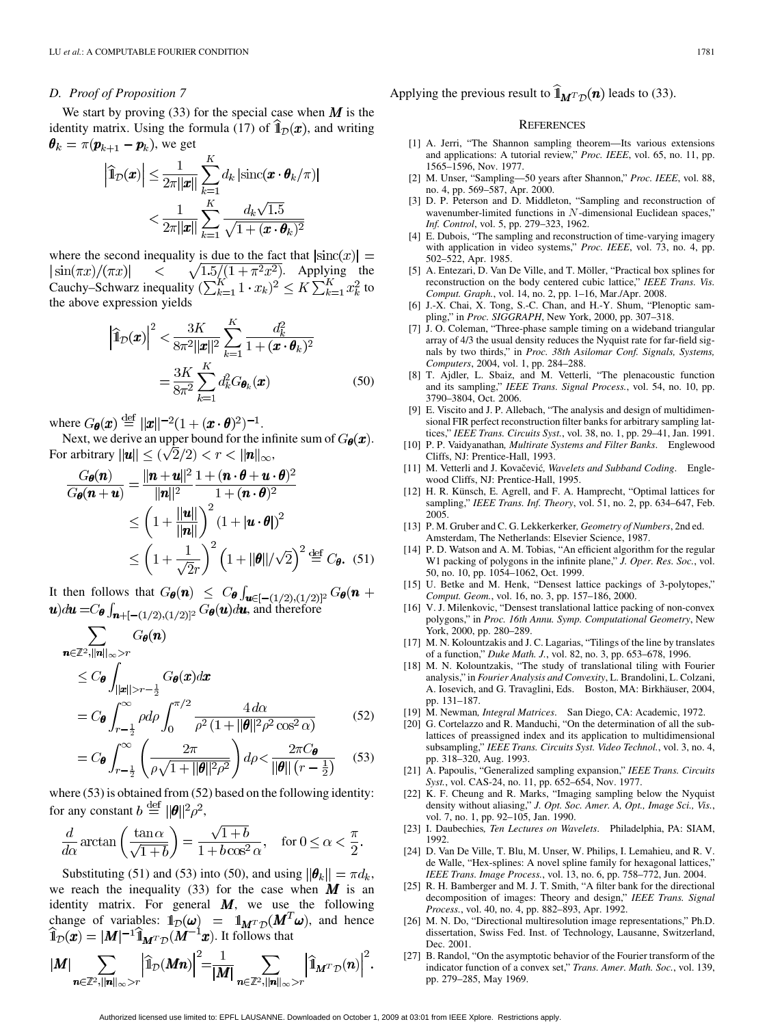## *D. Proof of Proposition 7*

We start by proving (33) for the special case when  $\boldsymbol{M}$  is the identity matrix. Using the formula (17) of  $\mathbb{1}_D(\boldsymbol{x})$ , and writing  $\boldsymbol{\theta}_k = \pi(\boldsymbol{p}_{k+1} - \boldsymbol{p}_k)$ , we get

$$
\left| \widehat{\mathbb{1}}_{\mathcal{D}}(\boldsymbol{x}) \right| \leq \frac{1}{2\pi ||\boldsymbol{x}||} \sum_{k=1}^{K} d_k \left| \mathrm{sinc}(\boldsymbol{x} \cdot \boldsymbol{\theta}_k / \pi) \right|
$$

$$
< \frac{1}{2\pi ||\boldsymbol{x}||} \sum_{k=1}^{K} \frac{d_k \sqrt{1.5}}{\sqrt{1 + (\boldsymbol{x} \cdot \boldsymbol{\theta}_k)^2}}
$$

where the second inequality is due to the fact that  $|\text{sinc}(x)| =$ . Applying the Cauchy–Schwarz inequality  $(\sum_{k=1}^{K} 1 \cdot x_k)^2 \leq K \sum_{k=1}^{K} x_k^2$  to the above expression yields

$$
\left| \hat{\mathbb{1}}_{\mathcal{D}}(\boldsymbol{x}) \right|^2 < \frac{3K}{8\pi^2 ||\boldsymbol{x}||^2} \sum_{k=1}^K \frac{d_k^2}{1 + (\boldsymbol{x} \cdot \boldsymbol{\theta}_k)^2} \\
= \frac{3K}{8\pi^2} \sum_{k=1}^K d_k^2 G_{\boldsymbol{\theta}_k}(\boldsymbol{x}) \tag{50}
$$

where  $G_{\theta}(\boldsymbol{x}) \stackrel{\text{def}}{=} ||\boldsymbol{x}||^{-2} (1 + (\boldsymbol{x} \cdot \boldsymbol{\theta})^2)^{-1}$ .

Next, we derive an upper bound for the infinite sum of  $G_{\theta}(x)$ . For arbitrary  $\|\mathbf{u}\| \leq (\sqrt{2}/2) < r < \|\mathbf{n}\|_{\infty}$ ,

$$
\frac{G_{\theta}(n)}{G_{\theta}(n+u)} = \frac{||n+u||^2}{||n||^2} \frac{1 + (n \cdot \theta + u \cdot \theta)^2}{1 + (n \cdot \theta)^2}
$$
\n
$$
\leq \left(1 + \frac{||u||}{||n||}\right)^2 (1 + |u \cdot \theta|)^2
$$
\n
$$
\leq \left(1 + \frac{1}{\sqrt{2}r}\right)^2 \left(1 + ||\theta||/\sqrt{2}\right)^2 \stackrel{\text{def}}{=} C_{\theta}. \quad (51)
$$

It then follows that  $G_{\theta}(n) \leq C_{\theta} \int_{\mathbf{u} \in [-(1/2),(1/2)]^2} G_{\theta}(n+1)$  $(\mathbf{u})$ du =  $C_{\theta} \int_{\mathbf{n}+[-(1/2),(1/2)]^2} G_{\theta}(\mathbf{u}) d\mathbf{u}$ , and therefore

$$
\sum_{\mathbf{n}\in\mathbb{Z}^2, ||\mathbf{n}||_{\infty} > r} G_{\theta}(\mathbf{n})
$$
\n
$$
\leq C_{\theta} \int_{||\mathbf{x}||>r-\frac{1}{2}} G_{\theta}(\mathbf{x}) d\mathbf{x}
$$
\n
$$
= C_{\theta} \int_{r-\frac{1}{2}}^{\infty} \rho d\rho \int_{0}^{\pi/2} \frac{4 d\alpha}{\rho^2 (1+||\theta||^2 \rho^2 \cos^2 \alpha)} \qquad (52)
$$

$$
= C_{\theta} \int_{r-\frac{1}{2}}^{\infty} \left( \frac{2\pi}{\rho \sqrt{1+||\theta||^2 \rho^2}} \right) d\rho < \frac{2\pi C_{\theta}}{||\theta|| \left(r-\frac{1}{2}\right)} \quad (53)
$$

where (53) is obtained from (52) based on the following identity: for any constant  $b \stackrel{\text{def}}{=} ||\boldsymbol{\theta}||^2 \rho^2$ ,

$$
\frac{d}{d\alpha}\arctan\left(\frac{\tan\alpha}{\sqrt{1+b}}\right) = \frac{\sqrt{1+b}}{1+b\cos^2\alpha}, \quad \text{for } 0 \le \alpha < \frac{\pi}{2}.
$$

Substituting (51) and (53) into (50), and using  $\|\boldsymbol{\theta}_k\| = \pi d_k$ , we reach the inequality (33) for the case when  $M$  is an identity matrix. For general  $M$ , we use the following change of variables:  $\mathbb{1}_{\mathcal{D}}(\omega) = \mathbb{1}_{M^{T}\mathcal{D}}(M^{\perp}\omega)$ , and hence . It follows that

$$
|M| \sum_{\mathbf{n}\in\mathbb{Z}^2, ||\mathbf{n}||_{\infty}>r} \left|\widehat{\mathbb{1}}_{\mathcal{D}}(M\mathbf{n})\right|^2 = \frac{1}{|M|} \sum_{\mathbf{n}\in\mathbb{Z}^2, ||\mathbf{n}||_{\infty}>r} \left|\widehat{\mathbb{1}}_{M^T\mathcal{D}}(\mathbf{n})\right|^2.
$$

Applying the previous result to  $\hat{\mathbb{I}}_{M^T\mathcal{D}}(n)$  leads to (33).

#### **REFERENCES**

- [1] A. Jerri, "The Shannon sampling theorem—Its various extensions and applications: A tutorial review," *Proc. IEEE*, vol. 65, no. 11, pp. 1565–1596, Nov. 1977.
- [2] M. Unser, "Sampling—50 years after Shannon," *Proc. IEEE*, vol. 88, no. 4, pp. 569–587, Apr. 2000.
- [3] D. P. Peterson and D. Middleton, "Sampling and reconstruction of wavenumber-limited functions in  $N$ -dimensional Euclidean spaces," *Inf. Control*, vol. 5, pp. 279–323, 1962.
- [4] E. Dubois, "The sampling and reconstruction of time-varying imagery with application in video systems," *Proc. IEEE*, vol. 73, no. 4, pp. 502–522, Apr. 1985.
- [5] A. Entezari, D. Van De Ville, and T. Möller, "Practical box splines for reconstruction on the body centered cubic lattice," *IEEE Trans. Vis. Comput. Graph.*, vol. 14, no. 2, pp. 1–16, Mar./Apr. 2008.
- [6] J.-X. Chai, X. Tong, S.-C. Chan, and H.-Y. Shum, "Plenoptic sampling," in *Proc. SIGGRAPH*, New York, 2000, pp. 307–318.
- [7] J. O. Coleman, "Three-phase sample timing on a wideband triangular array of 4/3 the usual density reduces the Nyquist rate for far-field signals by two thirds," in *Proc. 38th Asilomar Conf. Signals, Systems, Computers*, 2004, vol. 1, pp. 284–288.
- [8] T. Ajdler, L. Sbaiz, and M. Vetterli, "The plenacoustic function and its sampling," *IEEE Trans. Signal Process.*, vol. 54, no. 10, pp. 3790–3804, Oct. 2006.
- [9] E. Viscito and J. P. Allebach, "The analysis and design of multidimensional FIR perfect reconstruction filter banks for arbitrary sampling lattices," *IEEE Trans. Circuits Syst.*, vol. 38, no. 1, pp. 29–41, Jan. 1991.
- [10] P. P. Vaidyanathan*, Multirate Systems and Filter Banks*. Englewood Cliffs, NJ: Prentice-Hall, 1993.
- [11] M. Vetterli and J. Kovačević, Wavelets and Subband Coding. Englewood Cliffs, NJ: Prentice-Hall, 1995.
- [12] H. R. Künsch, E. Agrell, and F. A. Hamprecht, "Optimal lattices for sampling," *IEEE Trans. Inf. Theory*, vol. 51, no. 2, pp. 634–647, Feb. 2005.
- [13] P. M. Gruber and C. G. Lekkerkerker*, Geometry of Numbers*, 2nd ed. Amsterdam, The Netherlands: Elsevier Science, 1987.
- [14] P. D. Watson and A. M. Tobias, "An efficient algorithm for the regular W1 packing of polygons in the infinite plane," *J. Oper. Res. Soc.*, vol. 50, no. 10, pp. 1054–1062, Oct. 1999.
- [15] U. Betke and M. Henk, "Densest lattice packings of 3-polytopes," *Comput. Geom.*, vol. 16, no. 3, pp. 157–186, 2000.
- [16] V. J. Milenkovic, "Densest translational lattice packing of non-convex polygons," in *Proc. 16th Annu. Symp. Computational Geometry*, New York, 2000, pp. 280–289.
- [17] M. N. Kolountzakis and J. C. Lagarias, "Tilings of the line by translates of a function," *Duke Math. J.*, vol. 82, no. 3, pp. 653–678, 1996.
- [18] M. N. Kolountzakis, "The study of translational tiling with Fourier analysis," in *Fourier Analysis and Convexity*, L. Brandolini, L. Colzani, A. Iosevich, and G. Travaglini, Eds. Boston, MA: Birkhäuser, 2004, pp. 131–187.
- [19] M. Newman*, Integral Matrices*. San Diego, CA: Academic, 1972.
- [20] G. Cortelazzo and R. Manduchi, "On the determination of all the sublattices of preassigned index and its application to multidimensional subsampling," *IEEE Trans. Circuits Syst. Video Technol.*, vol. 3, no. 4, pp. 318–320, Aug. 1993.
- [21] A. Papoulis, "Generalized sampling expansion," *IEEE Trans. Circuits Syst.*, vol. CAS-24, no. 11, pp. 652–654, Nov. 1977.
- [22] K. F. Cheung and R. Marks, "Imaging sampling below the Nyquist density without aliasing," *J. Opt. Soc. Amer. A, Opt., Image Sci., Vis.*, vol. 7, no. 1, pp. 92–105, Jan. 1990.
- [23] I. Daubechies*, Ten Lectures on Wavelets*. Philadelphia, PA: SIAM, 1992.
- [24] D. Van De Ville, T. Blu, M. Unser, W. Philips, I. Lemahieu, and R. V. de Walle, "Hex-splines: A novel spline family for hexagonal lattices," *IEEE Trans. Image Process.*, vol. 13, no. 6, pp. 758–772, Jun. 2004.
- [25] R. H. Bamberger and M. J. T. Smith, "A filter bank for the directional decomposition of images: Theory and design," *IEEE Trans. Signal Process.*, vol. 40, no. 4, pp. 882–893, Apr. 1992.
- [26] M. N. Do, "Directional multiresolution image representations," Ph.D. dissertation, Swiss Fed. Inst. of Technology, Lausanne, Switzerland, Dec. 2001.
- [27] B. Randol, "On the asymptotic behavior of the Fourier transform of the indicator function of a convex set," *Trans. Amer. Math. Soc.*, vol. 139, pp. 279–285, May 1969.